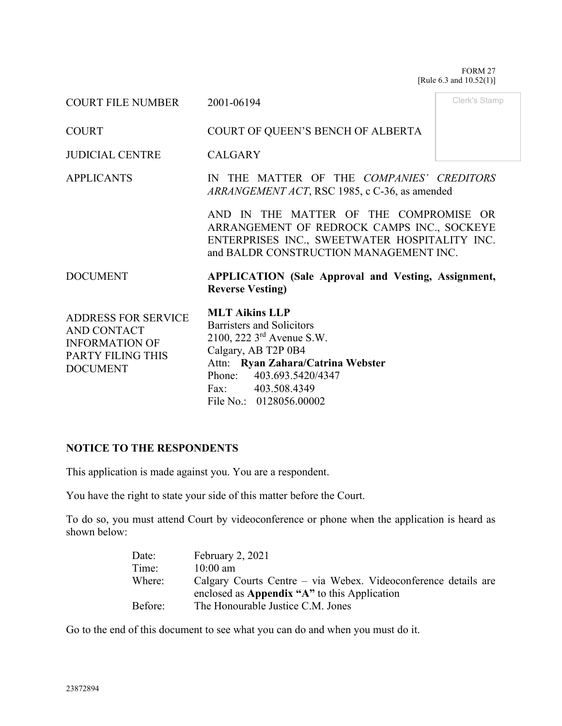FORM 27 [Rule 6.3 and 10.52(1)]

| <b>COURT FILE NUMBER</b>                                                                                          | 2001-06194                                                                                                                                                                                                                             | Clerk's Stamp |
|-------------------------------------------------------------------------------------------------------------------|----------------------------------------------------------------------------------------------------------------------------------------------------------------------------------------------------------------------------------------|---------------|
| <b>COURT</b>                                                                                                      | COURT OF QUEEN'S BENCH OF ALBERTA                                                                                                                                                                                                      |               |
| <b>JUDICIAL CENTRE</b>                                                                                            | <b>CALGARY</b>                                                                                                                                                                                                                         |               |
| <b>APPLICANTS</b>                                                                                                 | IN THE MATTER OF THE COMPANIES' CREDITORS<br>ARRANGEMENT ACT, RSC 1985, c C-36, as amended                                                                                                                                             |               |
|                                                                                                                   | AND IN THE MATTER OF THE COMPROMISE OR<br>ARRANGEMENT OF REDROCK CAMPS INC., SOCKEYE<br>ENTERPRISES INC., SWEETWATER HOSPITALITY INC.<br>and BALDR CONSTRUCTION MANAGEMENT INC.                                                        |               |
| <b>DOCUMENT</b>                                                                                                   | <b>APPLICATION</b> (Sale Approval and Vesting, Assignment,<br><b>Reverse Vesting</b> )                                                                                                                                                 |               |
| <b>ADDRESS FOR SERVICE</b><br>AND CONTACT<br><b>INFORMATION OF</b><br><b>PARTY FILING THIS</b><br><b>DOCUMENT</b> | <b>MLT Aikins LLP</b><br>Barristers and Solicitors<br>2100, 222 3 <sup>rd</sup> Avenue S.W.<br>Calgary, AB T2P 0B4<br>Attn: Ryan Zahara/Catrina Webster<br>Phone:<br>403.693.5420/4347<br>Fax: 403.508.4349<br>File No.: 0128056.00002 |               |

## **NOTICE TO THE RESPONDENTS**

This application is made against you. You are a respondent.

You have the right to state your side of this matter before the Court.

To do so, you must attend Court by videoconference or phone when the application is heard as shown below:

| Date:   | February 2, 2021                                               |
|---------|----------------------------------------------------------------|
| Time:   | $10:00 \text{ am}$                                             |
| Where:  | Calgary Courts Centre – via Webex. Videoconference details are |
|         | enclosed as Appendix "A" to this Application                   |
| Before: | The Honourable Justice C.M. Jones                              |

Go to the end of this document to see what you can do and when you must do it.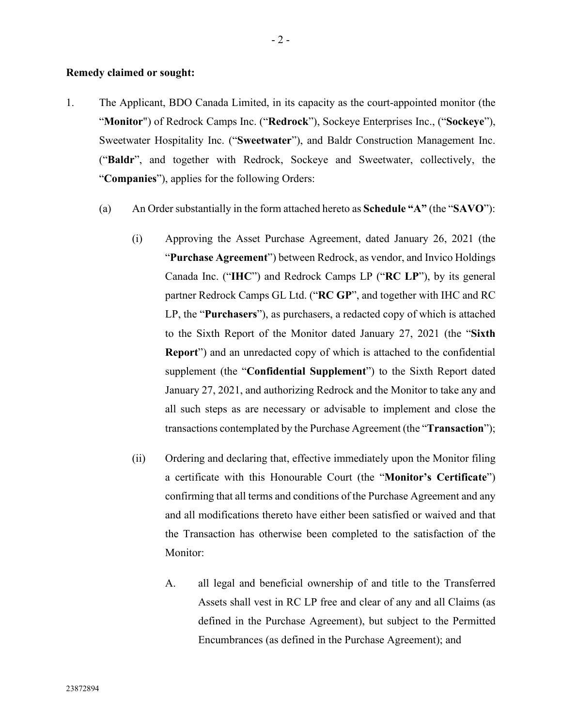#### **Remedy claimed or sought:**

- 1. The Applicant, BDO Canada Limited, in its capacity as the court-appointed monitor (the "**Monitor**") of Redrock Camps Inc. ("**Redrock**"), Sockeye Enterprises Inc., ("**Sockeye**"), Sweetwater Hospitality Inc. ("**Sweetwater**"), and Baldr Construction Management Inc. ("**Baldr**", and together with Redrock, Sockeye and Sweetwater, collectively, the "**Companies**"), applies for the following Orders:
	- (a) An Order substantially in the form attached hereto as **Schedule "A"** (the "**SAVO**"):
		- (i) Approving the Asset Purchase Agreement, dated January 26, 2021 (the "**Purchase Agreement**") between Redrock, as vendor, and Invico Holdings Canada Inc. ("**IHC**") and Redrock Camps LP ("**RC LP**"), by its general partner Redrock Camps GL Ltd. ("**RC GP**", and together with IHC and RC LP, the "**Purchasers**"), as purchasers, a redacted copy of which is attached to the Sixth Report of the Monitor dated January 27, 2021 (the "**Sixth Report**") and an unredacted copy of which is attached to the confidential supplement (the "**Confidential Supplement**") to the Sixth Report dated January 27, 2021, and authorizing Redrock and the Monitor to take any and all such steps as are necessary or advisable to implement and close the transactions contemplated by the Purchase Agreement (the "**Transaction**");
		- (ii) Ordering and declaring that, effective immediately upon the Monitor filing a certificate with this Honourable Court (the "**Monitor's Certificate**") confirming that all terms and conditions of the Purchase Agreement and any and all modifications thereto have either been satisfied or waived and that the Transaction has otherwise been completed to the satisfaction of the Monitor:
			- A. all legal and beneficial ownership of and title to the Transferred Assets shall vest in RC LP free and clear of any and all Claims (as defined in the Purchase Agreement), but subject to the Permitted Encumbrances (as defined in the Purchase Agreement); and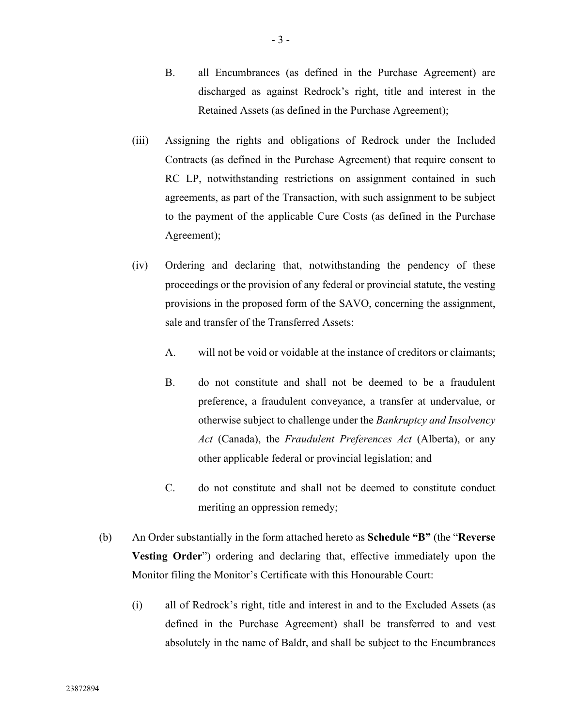- B. all Encumbrances (as defined in the Purchase Agreement) are discharged as against Redrock's right, title and interest in the Retained Assets (as defined in the Purchase Agreement);
- (iii) Assigning the rights and obligations of Redrock under the Included Contracts (as defined in the Purchase Agreement) that require consent to RC LP, notwithstanding restrictions on assignment contained in such agreements, as part of the Transaction, with such assignment to be subject to the payment of the applicable Cure Costs (as defined in the Purchase Agreement);
- (iv) Ordering and declaring that, notwithstanding the pendency of these proceedings or the provision of any federal or provincial statute, the vesting provisions in the proposed form of the SAVO, concerning the assignment, sale and transfer of the Transferred Assets:
	- A. will not be void or voidable at the instance of creditors or claimants;
	- B. do not constitute and shall not be deemed to be a fraudulent preference, a fraudulent conveyance, a transfer at undervalue, or otherwise subject to challenge under the *Bankruptcy and Insolvency Act* (Canada), the *Fraudulent Preferences Act* (Alberta), or any other applicable federal or provincial legislation; and
	- C. do not constitute and shall not be deemed to constitute conduct meriting an oppression remedy;
- (b) An Order substantially in the form attached hereto as **Schedule "B"** (the "**Reverse Vesting Order**") ordering and declaring that, effective immediately upon the Monitor filing the Monitor's Certificate with this Honourable Court:
	- (i) all of Redrock's right, title and interest in and to the Excluded Assets (as defined in the Purchase Agreement) shall be transferred to and vest absolutely in the name of Baldr, and shall be subject to the Encumbrances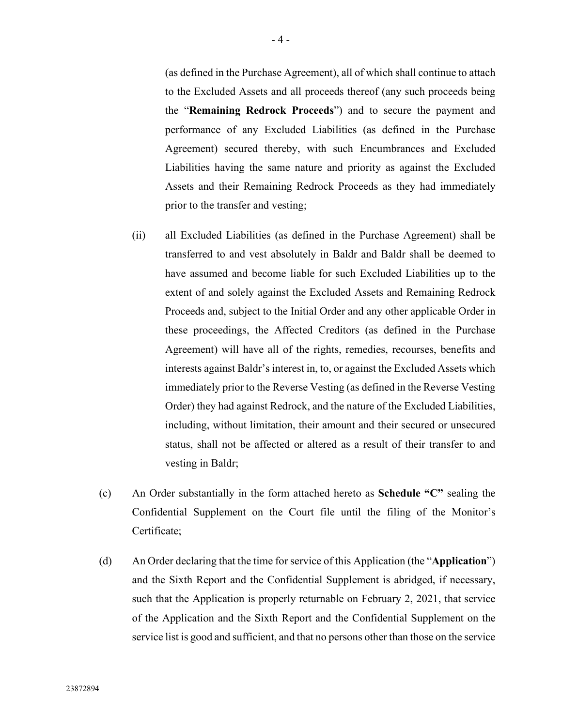(as defined in the Purchase Agreement), all of which shall continue to attach to the Excluded Assets and all proceeds thereof (any such proceeds being the "**Remaining Redrock Proceeds**") and to secure the payment and performance of any Excluded Liabilities (as defined in the Purchase Agreement) secured thereby, with such Encumbrances and Excluded Liabilities having the same nature and priority as against the Excluded Assets and their Remaining Redrock Proceeds as they had immediately prior to the transfer and vesting;

- (ii) all Excluded Liabilities (as defined in the Purchase Agreement) shall be transferred to and vest absolutely in Baldr and Baldr shall be deemed to have assumed and become liable for such Excluded Liabilities up to the extent of and solely against the Excluded Assets and Remaining Redrock Proceeds and, subject to the Initial Order and any other applicable Order in these proceedings, the Affected Creditors (as defined in the Purchase Agreement) will have all of the rights, remedies, recourses, benefits and interests against Baldr's interest in, to, or against the Excluded Assets which immediately prior to the Reverse Vesting (as defined in the Reverse Vesting Order) they had against Redrock, and the nature of the Excluded Liabilities, including, without limitation, their amount and their secured or unsecured status, shall not be affected or altered as a result of their transfer to and vesting in Baldr;
- (c) An Order substantially in the form attached hereto as **Schedule "C"** sealing the Confidential Supplement on the Court file until the filing of the Monitor's Certificate;
- (d) An Order declaring that the time for service of this Application (the "**Application**") and the Sixth Report and the Confidential Supplement is abridged, if necessary, such that the Application is properly returnable on February 2, 2021, that service of the Application and the Sixth Report and the Confidential Supplement on the service list is good and sufficient, and that no persons other than those on the service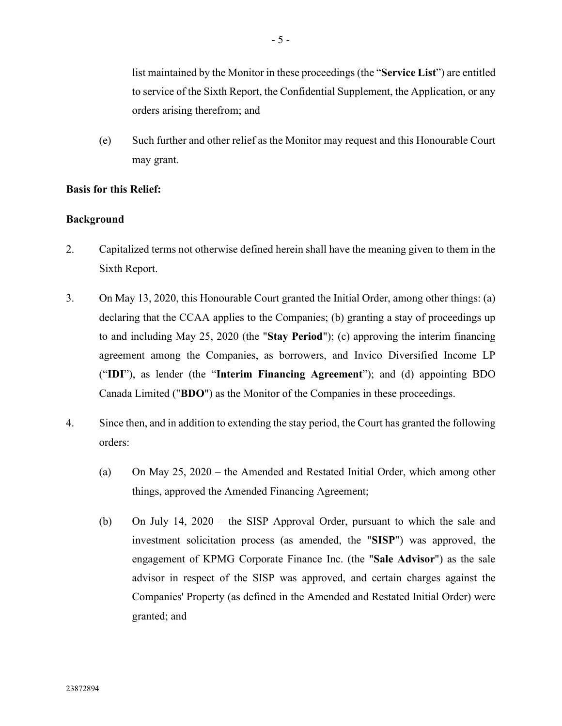list maintained by the Monitor in these proceedings (the "**Service List**") are entitled to service of the Sixth Report, the Confidential Supplement, the Application, or any orders arising therefrom; and

(e) Such further and other relief as the Monitor may request and this Honourable Court may grant.

# **Basis for this Relief:**

# **Background**

- 2. Capitalized terms not otherwise defined herein shall have the meaning given to them in the Sixth Report.
- 3. On May 13, 2020, this Honourable Court granted the Initial Order, among other things: (a) declaring that the CCAA applies to the Companies; (b) granting a stay of proceedings up to and including May 25, 2020 (the "**Stay Period**"); (c) approving the interim financing agreement among the Companies, as borrowers, and Invico Diversified Income LP ("**IDI**"), as lender (the "**Interim Financing Agreement**"); and (d) appointing BDO Canada Limited ("**BDO**") as the Monitor of the Companies in these proceedings.
- 4. Since then, and in addition to extending the stay period, the Court has granted the following orders:
	- (a) On May 25, 2020 the Amended and Restated Initial Order, which among other things, approved the Amended Financing Agreement;
	- (b) On July 14, 2020 the SISP Approval Order, pursuant to which the sale and investment solicitation process (as amended, the "**SISP**") was approved, the engagement of KPMG Corporate Finance Inc. (the "**Sale Advisor**") as the sale advisor in respect of the SISP was approved, and certain charges against the Companies' Property (as defined in the Amended and Restated Initial Order) were granted; and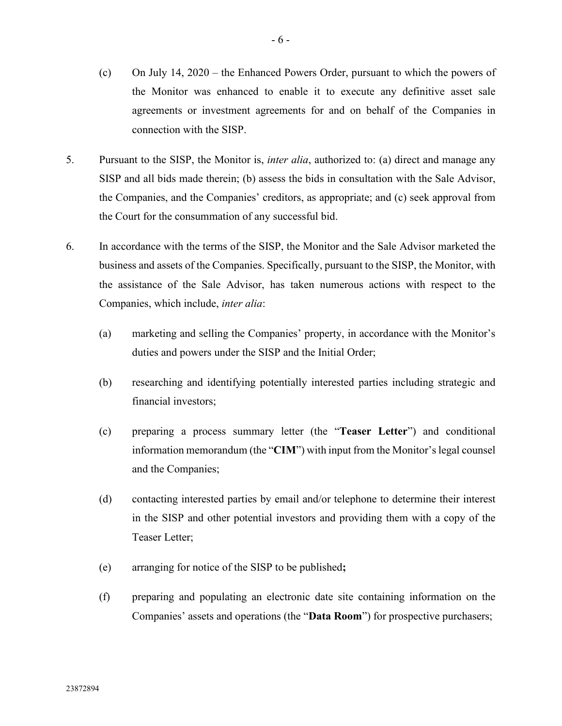- (c) On July 14, 2020 the Enhanced Powers Order, pursuant to which the powers of the Monitor was enhanced to enable it to execute any definitive asset sale agreements or investment agreements for and on behalf of the Companies in connection with the SISP.
- 5. Pursuant to the SISP, the Monitor is, *inter alia*, authorized to: (a) direct and manage any SISP and all bids made therein; (b) assess the bids in consultation with the Sale Advisor, the Companies, and the Companies' creditors, as appropriate; and (c) seek approval from the Court for the consummation of any successful bid.
- 6. In accordance with the terms of the SISP, the Monitor and the Sale Advisor marketed the business and assets of the Companies. Specifically, pursuant to the SISP, the Monitor, with the assistance of the Sale Advisor, has taken numerous actions with respect to the Companies, which include, *inter alia*:
	- (a) marketing and selling the Companies' property, in accordance with the Monitor's duties and powers under the SISP and the Initial Order;
	- (b) researching and identifying potentially interested parties including strategic and financial investors;
	- (c) preparing a process summary letter (the "**Teaser Letter**") and conditional information memorandum (the "**CIM**") with input from the Monitor's legal counsel and the Companies;
	- (d) contacting interested parties by email and/or telephone to determine their interest in the SISP and other potential investors and providing them with a copy of the Teaser Letter;
	- (e) arranging for notice of the SISP to be published**;**
	- (f) preparing and populating an electronic date site containing information on the Companies' assets and operations (the "**Data Room**") for prospective purchasers;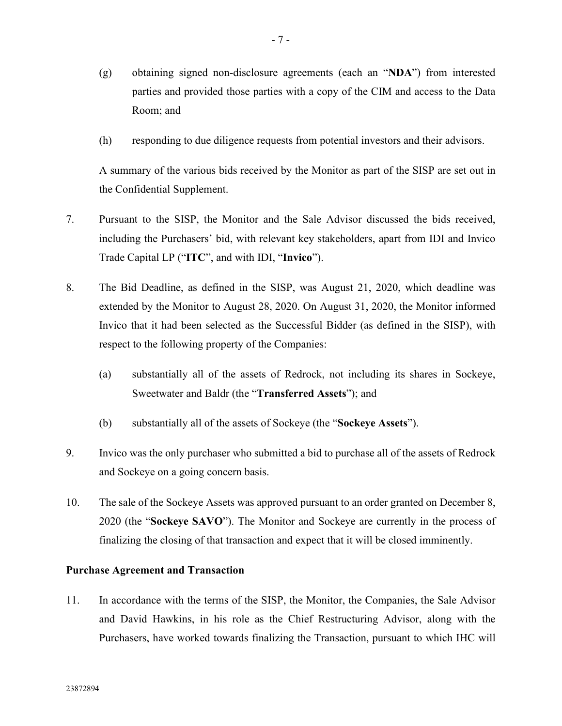- (g) obtaining signed non-disclosure agreements (each an "**NDA**") from interested parties and provided those parties with a copy of the CIM and access to the Data Room; and
- (h) responding to due diligence requests from potential investors and their advisors.

A summary of the various bids received by the Monitor as part of the SISP are set out in the Confidential Supplement.

- 7. Pursuant to the SISP, the Monitor and the Sale Advisor discussed the bids received, including the Purchasers' bid, with relevant key stakeholders, apart from IDI and Invico Trade Capital LP ("**ITC**", and with IDI, "**Invico**").
- 8. The Bid Deadline, as defined in the SISP, was August 21, 2020, which deadline was extended by the Monitor to August 28, 2020. On August 31, 2020, the Monitor informed Invico that it had been selected as the Successful Bidder (as defined in the SISP), with respect to the following property of the Companies:
	- (a) substantially all of the assets of Redrock, not including its shares in Sockeye, Sweetwater and Baldr (the "**Transferred Assets**"); and
	- (b) substantially all of the assets of Sockeye (the "**Sockeye Assets**").
- 9. Invico was the only purchaser who submitted a bid to purchase all of the assets of Redrock and Sockeye on a going concern basis.
- 10. The sale of the Sockeye Assets was approved pursuant to an order granted on December 8, 2020 (the "**Sockeye SAVO**"). The Monitor and Sockeye are currently in the process of finalizing the closing of that transaction and expect that it will be closed imminently.

## **Purchase Agreement and Transaction**

11. In accordance with the terms of the SISP, the Monitor, the Companies, the Sale Advisor and David Hawkins, in his role as the Chief Restructuring Advisor, along with the Purchasers, have worked towards finalizing the Transaction, pursuant to which IHC will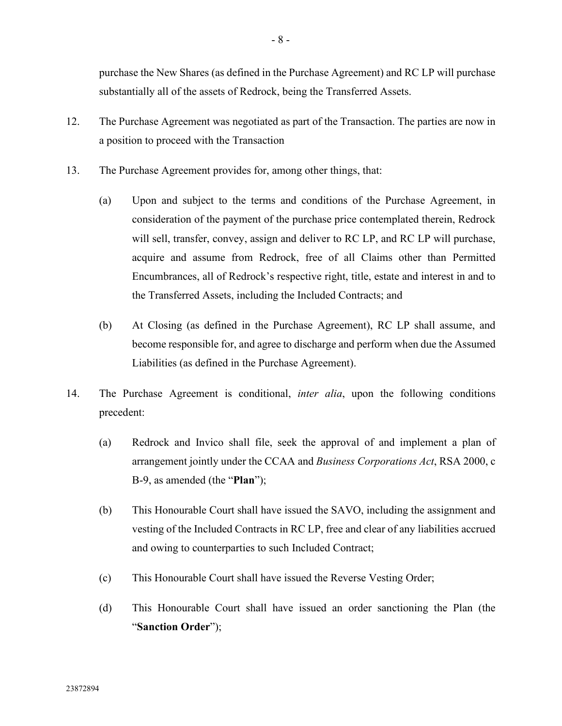purchase the New Shares (as defined in the Purchase Agreement) and RC LP will purchase substantially all of the assets of Redrock, being the Transferred Assets.

- 12. The Purchase Agreement was negotiated as part of the Transaction. The parties are now in a position to proceed with the Transaction
- 13. The Purchase Agreement provides for, among other things, that:
	- (a) Upon and subject to the terms and conditions of the Purchase Agreement, in consideration of the payment of the purchase price contemplated therein, Redrock will sell, transfer, convey, assign and deliver to RC LP, and RC LP will purchase, acquire and assume from Redrock, free of all Claims other than Permitted Encumbrances, all of Redrock's respective right, title, estate and interest in and to the Transferred Assets, including the Included Contracts; and
	- (b) At Closing (as defined in the Purchase Agreement), RC LP shall assume, and become responsible for, and agree to discharge and perform when due the Assumed Liabilities (as defined in the Purchase Agreement).
- 14. The Purchase Agreement is conditional, *inter alia*, upon the following conditions precedent:
	- (a) Redrock and Invico shall file, seek the approval of and implement a plan of arrangement jointly under the CCAA and *Business Corporations Act*, RSA 2000, c B-9, as amended (the "**Plan**");
	- (b) This Honourable Court shall have issued the SAVO, including the assignment and vesting of the Included Contracts in RC LP, free and clear of any liabilities accrued and owing to counterparties to such Included Contract;
	- (c) This Honourable Court shall have issued the Reverse Vesting Order;
	- (d) This Honourable Court shall have issued an order sanctioning the Plan (the "**Sanction Order**");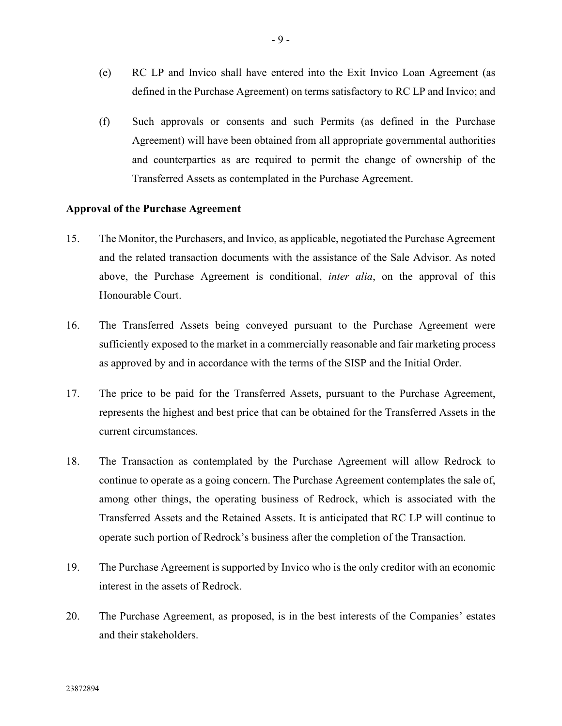- (e) RC LP and Invico shall have entered into the Exit Invico Loan Agreement (as defined in the Purchase Agreement) on terms satisfactory to RC LP and Invico; and
- (f) Such approvals or consents and such Permits (as defined in the Purchase Agreement) will have been obtained from all appropriate governmental authorities and counterparties as are required to permit the change of ownership of the Transferred Assets as contemplated in the Purchase Agreement.

#### **Approval of the Purchase Agreement**

- 15. The Monitor, the Purchasers, and Invico, as applicable, negotiated the Purchase Agreement and the related transaction documents with the assistance of the Sale Advisor. As noted above, the Purchase Agreement is conditional, *inter alia*, on the approval of this Honourable Court.
- 16. The Transferred Assets being conveyed pursuant to the Purchase Agreement were sufficiently exposed to the market in a commercially reasonable and fair marketing process as approved by and in accordance with the terms of the SISP and the Initial Order.
- 17. The price to be paid for the Transferred Assets, pursuant to the Purchase Agreement, represents the highest and best price that can be obtained for the Transferred Assets in the current circumstances.
- 18. The Transaction as contemplated by the Purchase Agreement will allow Redrock to continue to operate as a going concern. The Purchase Agreement contemplates the sale of, among other things, the operating business of Redrock, which is associated with the Transferred Assets and the Retained Assets. It is anticipated that RC LP will continue to operate such portion of Redrock's business after the completion of the Transaction.
- 19. The Purchase Agreement is supported by Invico who is the only creditor with an economic interest in the assets of Redrock.
- 20. The Purchase Agreement, as proposed, is in the best interests of the Companies' estates and their stakeholders.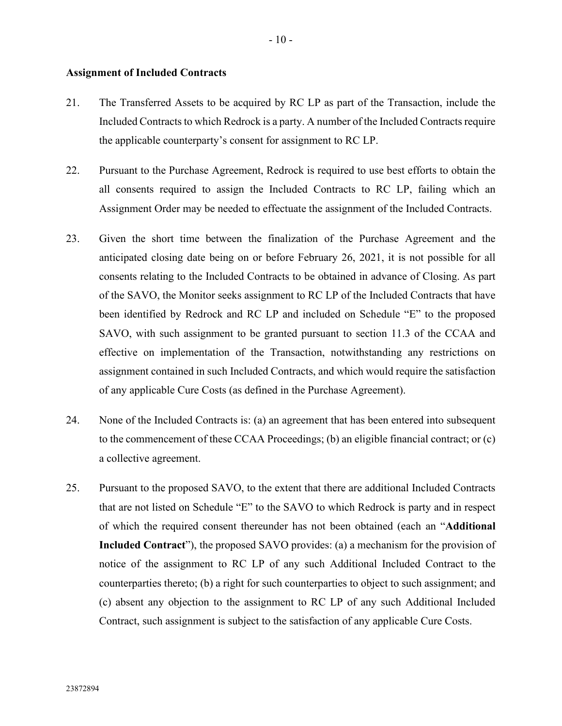#### **Assignment of Included Contracts**

- 21. The Transferred Assets to be acquired by RC LP as part of the Transaction, include the Included Contracts to which Redrock is a party. A number of the Included Contracts require the applicable counterparty's consent for assignment to RC LP.
- 22. Pursuant to the Purchase Agreement, Redrock is required to use best efforts to obtain the all consents required to assign the Included Contracts to RC LP, failing which an Assignment Order may be needed to effectuate the assignment of the Included Contracts.
- 23. Given the short time between the finalization of the Purchase Agreement and the anticipated closing date being on or before February 26, 2021, it is not possible for all consents relating to the Included Contracts to be obtained in advance of Closing. As part of the SAVO, the Monitor seeks assignment to RC LP of the Included Contracts that have been identified by Redrock and RC LP and included on Schedule "E" to the proposed SAVO, with such assignment to be granted pursuant to section 11.3 of the CCAA and effective on implementation of the Transaction, notwithstanding any restrictions on assignment contained in such Included Contracts, and which would require the satisfaction of any applicable Cure Costs (as defined in the Purchase Agreement).
- 24. None of the Included Contracts is: (a) an agreement that has been entered into subsequent to the commencement of these CCAA Proceedings; (b) an eligible financial contract; or (c) a collective agreement.
- 25. Pursuant to the proposed SAVO, to the extent that there are additional Included Contracts that are not listed on Schedule "E" to the SAVO to which Redrock is party and in respect of which the required consent thereunder has not been obtained (each an "**Additional Included Contract**"), the proposed SAVO provides: (a) a mechanism for the provision of notice of the assignment to RC LP of any such Additional Included Contract to the counterparties thereto; (b) a right for such counterparties to object to such assignment; and (c) absent any objection to the assignment to RC LP of any such Additional Included Contract, such assignment is subject to the satisfaction of any applicable Cure Costs.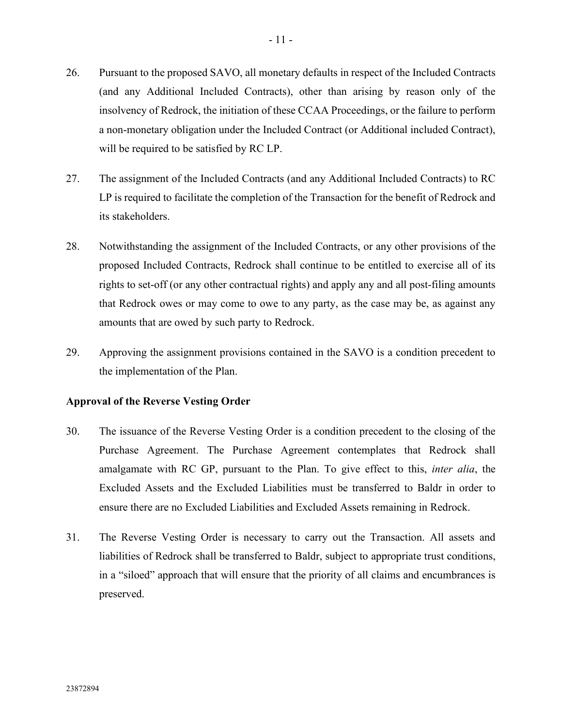- 26. Pursuant to the proposed SAVO, all monetary defaults in respect of the Included Contracts (and any Additional Included Contracts), other than arising by reason only of the insolvency of Redrock, the initiation of these CCAA Proceedings, or the failure to perform a non-monetary obligation under the Included Contract (or Additional included Contract), will be required to be satisfied by RC LP.
- 27. The assignment of the Included Contracts (and any Additional Included Contracts) to RC LP is required to facilitate the completion of the Transaction for the benefit of Redrock and its stakeholders.
- 28. Notwithstanding the assignment of the Included Contracts, or any other provisions of the proposed Included Contracts, Redrock shall continue to be entitled to exercise all of its rights to set-off (or any other contractual rights) and apply any and all post-filing amounts that Redrock owes or may come to owe to any party, as the case may be, as against any amounts that are owed by such party to Redrock.
- 29. Approving the assignment provisions contained in the SAVO is a condition precedent to the implementation of the Plan.

## **Approval of the Reverse Vesting Order**

- 30. The issuance of the Reverse Vesting Order is a condition precedent to the closing of the Purchase Agreement. The Purchase Agreement contemplates that Redrock shall amalgamate with RC GP, pursuant to the Plan. To give effect to this, *inter alia*, the Excluded Assets and the Excluded Liabilities must be transferred to Baldr in order to ensure there are no Excluded Liabilities and Excluded Assets remaining in Redrock.
- 31. The Reverse Vesting Order is necessary to carry out the Transaction. All assets and liabilities of Redrock shall be transferred to Baldr, subject to appropriate trust conditions, in a "siloed" approach that will ensure that the priority of all claims and encumbrances is preserved.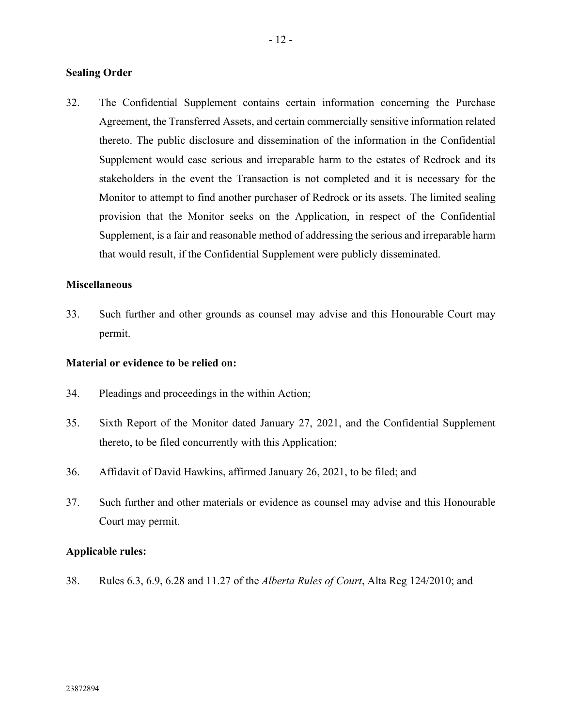#### **Sealing Order**

32. The Confidential Supplement contains certain information concerning the Purchase Agreement, the Transferred Assets, and certain commercially sensitive information related thereto. The public disclosure and dissemination of the information in the Confidential Supplement would case serious and irreparable harm to the estates of Redrock and its stakeholders in the event the Transaction is not completed and it is necessary for the Monitor to attempt to find another purchaser of Redrock or its assets. The limited sealing provision that the Monitor seeks on the Application, in respect of the Confidential Supplement, is a fair and reasonable method of addressing the serious and irreparable harm that would result, if the Confidential Supplement were publicly disseminated.

#### **Miscellaneous**

33. Such further and other grounds as counsel may advise and this Honourable Court may permit.

#### **Material or evidence to be relied on:**

- 34. Pleadings and proceedings in the within Action;
- 35. Sixth Report of the Monitor dated January 27, 2021, and the Confidential Supplement thereto, to be filed concurrently with this Application;
- 36. Affidavit of David Hawkins, affirmed January 26, 2021, to be filed; and
- 37. Such further and other materials or evidence as counsel may advise and this Honourable Court may permit.

#### **Applicable rules:**

38. Rules 6.3, 6.9, 6.28 and 11.27 of the *Alberta Rules of Court*, Alta Reg 124/2010; and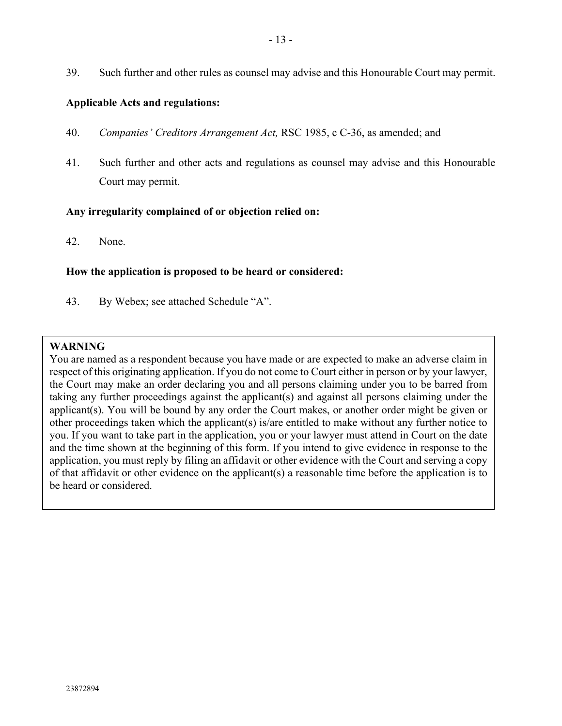39. Such further and other rules as counsel may advise and this Honourable Court may permit.

#### **Applicable Acts and regulations:**

- 40. *Companies' Creditors Arrangement Act,* RSC 1985, c C-36, as amended; and
- 41. Such further and other acts and regulations as counsel may advise and this Honourable Court may permit.

#### **Any irregularity complained of or objection relied on:**

42. None.

#### **How the application is proposed to be heard or considered:**

43. By Webex; see attached Schedule "A".

#### **WARNING**

You are named as a respondent because you have made or are expected to make an adverse claim in respect of this originating application. If you do not come to Court either in person or by your lawyer, the Court may make an order declaring you and all persons claiming under you to be barred from taking any further proceedings against the applicant(s) and against all persons claiming under the applicant(s). You will be bound by any order the Court makes, or another order might be given or other proceedings taken which the applicant(s) is/are entitled to make without any further notice to you. If you want to take part in the application, you or your lawyer must attend in Court on the date and the time shown at the beginning of this form. If you intend to give evidence in response to the application, you must reply by filing an affidavit or other evidence with the Court and serving a copy of that affidavit or other evidence on the applicant(s) a reasonable time before the application is to be heard or considered.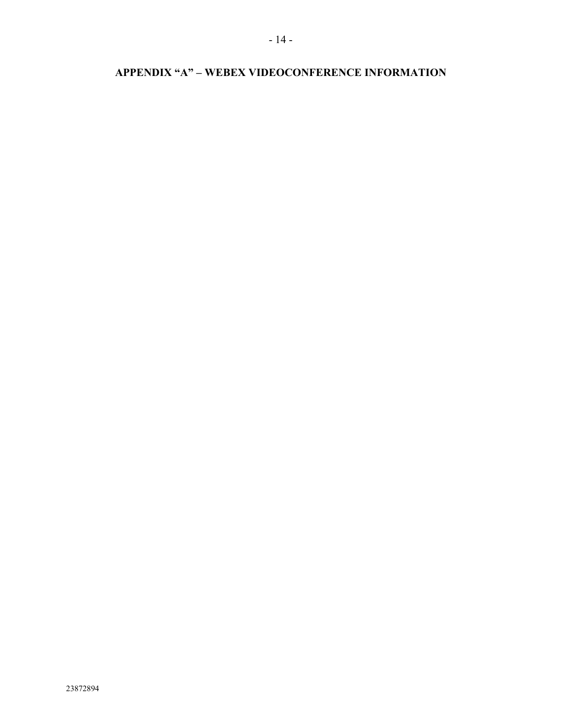# **APPENDIX "A" – WEBEX VIDEOCONFERENCE INFORMATION**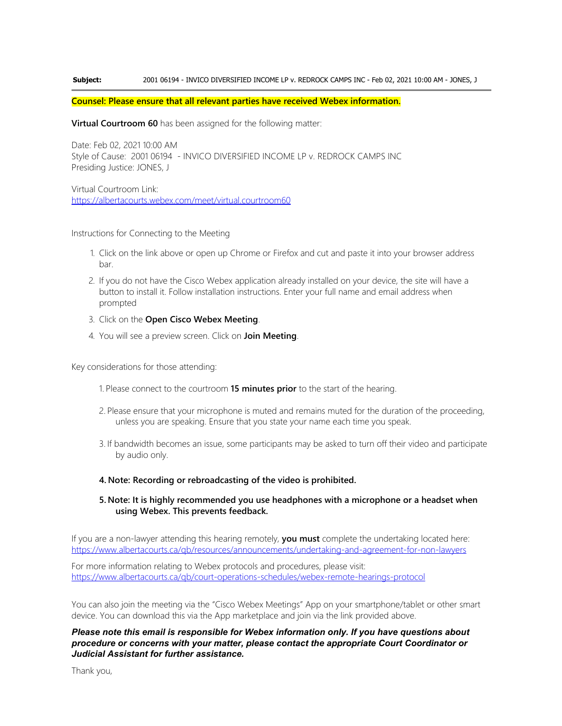#### **Subject:** 2001 06194 - INVICO DIVERSIFIED INCOME LP v. REDROCK CAMPS INC - Feb 02, 2021 10:00 AM - JONES, J

#### **Counsel: Please ensure that all relevant parties have received Webex information.**

**Virtual Courtroom 60** has been assigned for the following matter:

Date: Feb 02, 2021 10:00 AM Style of Cause: 2001 06194 - INVICO DIVERSIFIED INCOME LP v. REDROCK CAMPS INC Presiding Justice: JONES, J

Virtual Courtroom Link: <https://albertacourts.webex.com/meet/virtual.courtroom60>

Instructions for Connecting to the Meeting

- 1. Click on the link above or open up Chrome or Firefox and cut and paste it into your browser address bar.
- 2. If you do not have the Cisco Webex application already installed on your device, the site will have a button to install it. Follow installation instructions. Enter your full name and email address when prompted
- 3. Click on the **Open Cisco Webex Meeting**.
- 4. You will see a preview screen. Click on **Join Meeting**.

Key considerations for those attending:

- 1. Please connect to the courtroom **15 minutes prior** to the start of the hearing.
- 2. Please ensure that your microphone is muted and remains muted for the duration of the proceeding, unless you are speaking. Ensure that you state your name each time you speak.
- 3. If bandwidth becomes an issue, some participants may be asked to turn off their video and participate by audio only.

#### **4. Note: Recording or rebroadcasting of the video is prohibited.**

#### **5. Note: It is highly recommended you use headphones with a microphone or a headset when using Webex. This prevents feedback.**

If you are a non-lawyer attending this hearing remotely, **you must** complete the undertaking located here: <https://www.albertacourts.ca/qb/resources/announcements/undertaking-and-agreement-for-non-lawyers>

For more information relating to Webex protocols and procedures, please visit: <https://www.albertacourts.ca/qb/court-operations-schedules/webex-remote-hearings-protocol>

You can also join the meeting via the "Cisco Webex Meetings" App on your smartphone/tablet or other smart device. You can download this via the App marketplace and join via the link provided above.

*Please note this email is responsible for Webex information only. If you have questions about procedure or concerns with your matter, please contact the appropriate Court Coordinator or Judicial Assistant for further assistance.*

Thank you,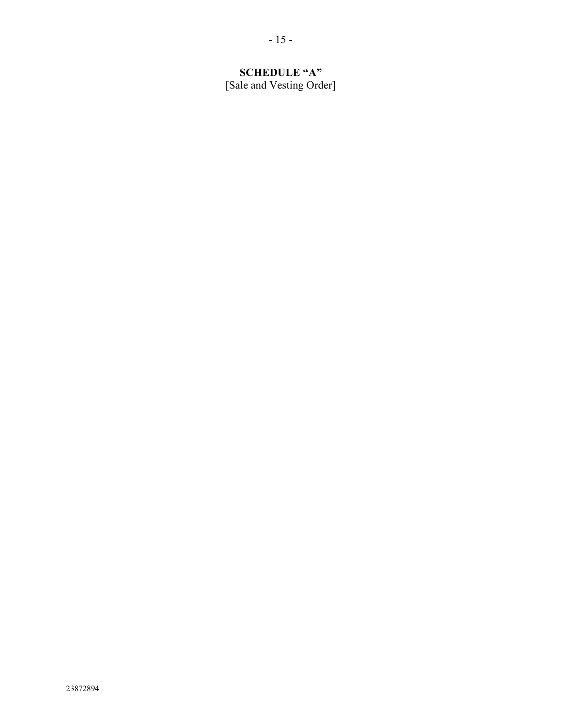# **SCHEDULE "A"** [Sale and Vesting Order]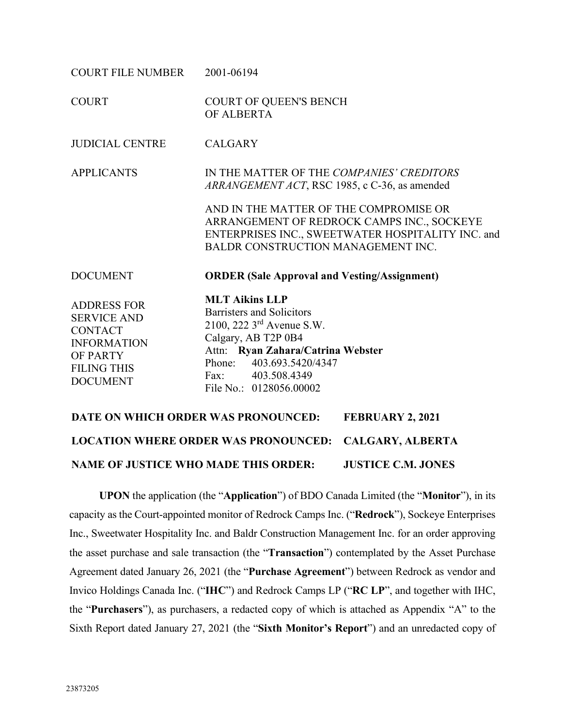| <b>COURT FILE NUMBER</b>                                                                                                              | 2001-06194                                                                                                                                                                                                                                                                    |
|---------------------------------------------------------------------------------------------------------------------------------------|-------------------------------------------------------------------------------------------------------------------------------------------------------------------------------------------------------------------------------------------------------------------------------|
| <b>COURT</b>                                                                                                                          | <b>COURT OF QUEEN'S BENCH</b><br>OF ALBERTA                                                                                                                                                                                                                                   |
| <b>JUDICIAL CENTRE</b>                                                                                                                | <b>CALGARY</b>                                                                                                                                                                                                                                                                |
| <b>APPLICANTS</b>                                                                                                                     | IN THE MATTER OF THE COMPANIES' CREDITORS<br>ARRANGEMENT ACT, RSC 1985, c C-36, as amended<br>AND IN THE MATTER OF THE COMPROMISE OR<br>ARRANGEMENT OF REDROCK CAMPS INC., SOCKEYE<br>ENTERPRISES INC., SWEETWATER HOSPITALITY INC. and<br>BALDR CONSTRUCTION MANAGEMENT INC. |
| <b>DOCUMENT</b>                                                                                                                       | <b>ORDER (Sale Approval and Vesting/Assignment)</b>                                                                                                                                                                                                                           |
| <b>ADDRESS FOR</b><br><b>SERVICE AND</b><br><b>CONTACT</b><br><b>INFORMATION</b><br>OF PARTY<br><b>FILING THIS</b><br><b>DOCUMENT</b> | <b>MLT Aikins LLP</b><br>Barristers and Solicitors<br>2100, 222 3 <sup>rd</sup> Avenue S.W.<br>Calgary, AB T2P 0B4<br>Attn: Ryan Zahara/Catrina Webster<br>Phone: 403.693.5420/4347<br>Fax: 403.508.4349<br>File No.: 0128056.00002                                           |

# **DATE ON WHICH ORDER WAS PRONOUNCED: FEBRUARY 2, 2021 LOCATION WHERE ORDER WAS PRONOUNCED: CALGARY, ALBERTA NAME OF JUSTICE WHO MADE THIS ORDER: JUSTICE C.M. JONES**

**UPON** the application (the "**Application**") of BDO Canada Limited (the "**Monitor**"), in its capacity as the Court-appointed monitor of Redrock Camps Inc. ("**Redrock**"), Sockeye Enterprises Inc., Sweetwater Hospitality Inc. and Baldr Construction Management Inc. for an order approving the asset purchase and sale transaction (the "**Transaction**") contemplated by the Asset Purchase Agreement dated January 26, 2021 (the "**Purchase Agreement**") between Redrock as vendor and Invico Holdings Canada Inc. ("**IHC**") and Redrock Camps LP ("**RC LP**", and together with IHC, the "**Purchasers**"), as purchasers, a redacted copy of which is attached as Appendix "A" to the Sixth Report dated January 27, 2021 (the "**Sixth Monitor's Report**") and an unredacted copy of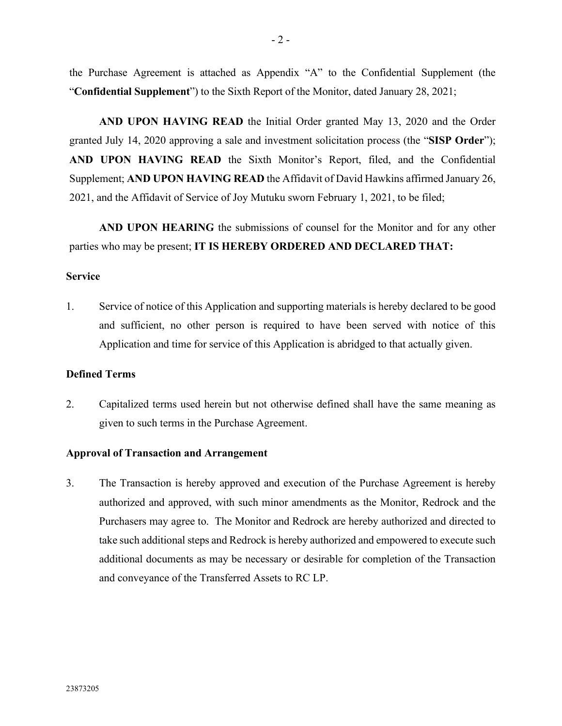the Purchase Agreement is attached as Appendix "A" to the Confidential Supplement (the "**Confidential Supplement**") to the Sixth Report of the Monitor, dated January 28, 2021;

**AND UPON HAVING READ** the Initial Order granted May 13, 2020 and the Order granted July 14, 2020 approving a sale and investment solicitation process (the "**SISP Order**"); **AND UPON HAVING READ** the Sixth Monitor's Report, filed, and the Confidential Supplement; **AND UPON HAVING READ** the Affidavit of David Hawkins affirmed January 26, 2021, and the Affidavit of Service of Joy Mutuku sworn February 1, 2021, to be filed;

**AND UPON HEARING** the submissions of counsel for the Monitor and for any other parties who may be present; **IT IS HEREBY ORDERED AND DECLARED THAT:**

#### **Service**

1. Service of notice of this Application and supporting materials is hereby declared to be good and sufficient, no other person is required to have been served with notice of this Application and time for service of this Application is abridged to that actually given.

#### **Defined Terms**

2. Capitalized terms used herein but not otherwise defined shall have the same meaning as given to such terms in the Purchase Agreement.

#### **Approval of Transaction and Arrangement**

3. The Transaction is hereby approved and execution of the Purchase Agreement is hereby authorized and approved, with such minor amendments as the Monitor, Redrock and the Purchasers may agree to. The Monitor and Redrock are hereby authorized and directed to take such additional steps and Redrock is hereby authorized and empowered to execute such additional documents as may be necessary or desirable for completion of the Transaction and conveyance of the Transferred Assets to RC LP.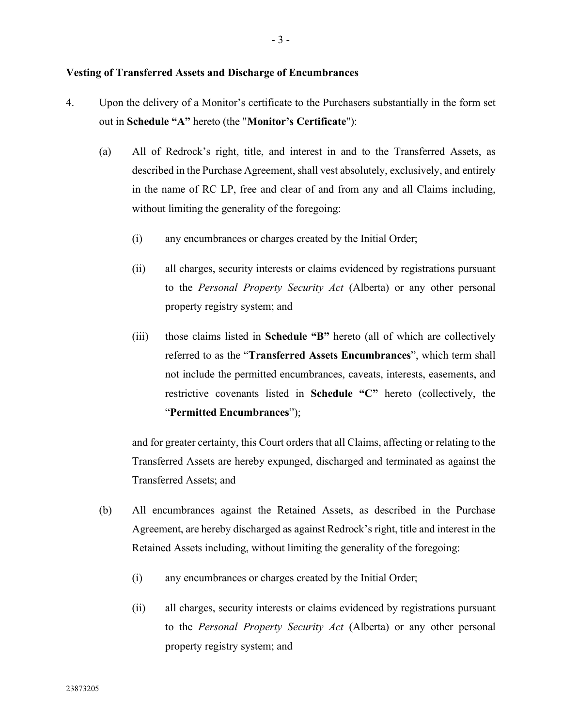#### **Vesting of Transferred Assets and Discharge of Encumbrances**

- 4. Upon the delivery of a Monitor's certificate to the Purchasers substantially in the form set out in **Schedule "A"** hereto (the "**Monitor's Certificate**"):
	- (a) All of Redrock's right, title, and interest in and to the Transferred Assets, as described in the Purchase Agreement, shall vest absolutely, exclusively, and entirely in the name of RC LP, free and clear of and from any and all Claims including, without limiting the generality of the foregoing:
		- (i) any encumbrances or charges created by the Initial Order;
		- (ii) all charges, security interests or claims evidenced by registrations pursuant to the *Personal Property Security Act* (Alberta) or any other personal property registry system; and
		- (iii) those claims listed in **Schedule "B"** hereto (all of which are collectively referred to as the "**Transferred Assets Encumbrances**", which term shall not include the permitted encumbrances, caveats, interests, easements, and restrictive covenants listed in **Schedule "C"** hereto (collectively, the "**Permitted Encumbrances**");

and for greater certainty, this Court orders that all Claims, affecting or relating to the Transferred Assets are hereby expunged, discharged and terminated as against the Transferred Assets; and

- (b) All encumbrances against the Retained Assets, as described in the Purchase Agreement, are hereby discharged as against Redrock's right, title and interest in the Retained Assets including, without limiting the generality of the foregoing:
	- (i) any encumbrances or charges created by the Initial Order;
	- (ii) all charges, security interests or claims evidenced by registrations pursuant to the *Personal Property Security Act* (Alberta) or any other personal property registry system; and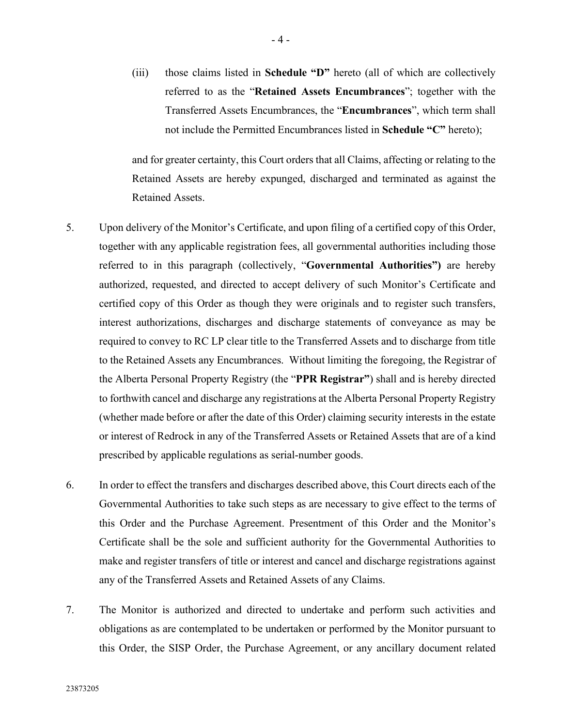(iii) those claims listed in **Schedule "D"** hereto (all of which are collectively referred to as the "**Retained Assets Encumbrances**"; together with the Transferred Assets Encumbrances, the "**Encumbrances**", which term shall not include the Permitted Encumbrances listed in **Schedule "C"** hereto);

and for greater certainty, this Court orders that all Claims, affecting or relating to the Retained Assets are hereby expunged, discharged and terminated as against the Retained Assets.

- 5. Upon delivery of the Monitor's Certificate, and upon filing of a certified copy of this Order, together with any applicable registration fees, all governmental authorities including those referred to in this paragraph (collectively, "**Governmental Authorities")** are hereby authorized, requested, and directed to accept delivery of such Monitor's Certificate and certified copy of this Order as though they were originals and to register such transfers, interest authorizations, discharges and discharge statements of conveyance as may be required to convey to RC LP clear title to the Transferred Assets and to discharge from title to the Retained Assets any Encumbrances. Without limiting the foregoing, the Registrar of the Alberta Personal Property Registry (the "**PPR Registrar"**) shall and is hereby directed to forthwith cancel and discharge any registrations at the Alberta Personal Property Registry (whether made before or after the date of this Order) claiming security interests in the estate or interest of Redrock in any of the Transferred Assets or Retained Assets that are of a kind prescribed by applicable regulations as serial-number goods.
- 6. In order to effect the transfers and discharges described above, this Court directs each of the Governmental Authorities to take such steps as are necessary to give effect to the terms of this Order and the Purchase Agreement. Presentment of this Order and the Monitor's Certificate shall be the sole and sufficient authority for the Governmental Authorities to make and register transfers of title or interest and cancel and discharge registrations against any of the Transferred Assets and Retained Assets of any Claims.
- 7. The Monitor is authorized and directed to undertake and perform such activities and obligations as are contemplated to be undertaken or performed by the Monitor pursuant to this Order, the SISP Order, the Purchase Agreement, or any ancillary document related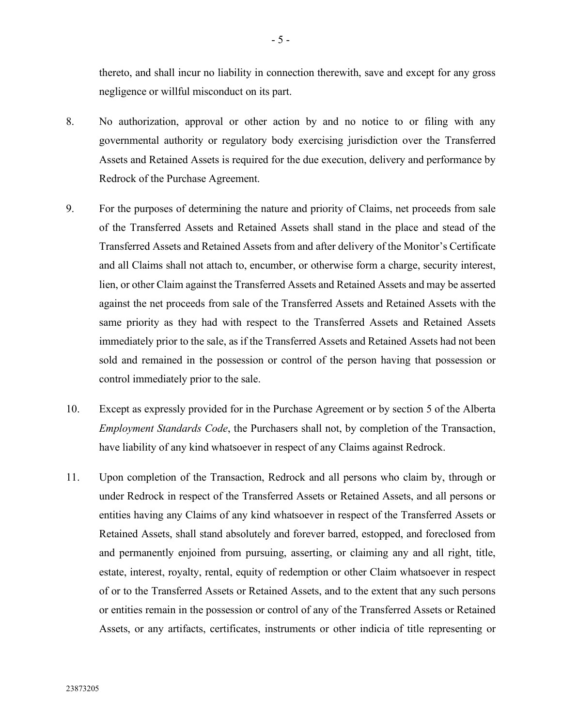thereto, and shall incur no liability in connection therewith, save and except for any gross negligence or willful misconduct on its part.

- 8. No authorization, approval or other action by and no notice to or filing with any governmental authority or regulatory body exercising jurisdiction over the Transferred Assets and Retained Assets is required for the due execution, delivery and performance by Redrock of the Purchase Agreement.
- 9. For the purposes of determining the nature and priority of Claims, net proceeds from sale of the Transferred Assets and Retained Assets shall stand in the place and stead of the Transferred Assets and Retained Assets from and after delivery of the Monitor's Certificate and all Claims shall not attach to, encumber, or otherwise form a charge, security interest, lien, or other Claim against the Transferred Assets and Retained Assets and may be asserted against the net proceeds from sale of the Transferred Assets and Retained Assets with the same priority as they had with respect to the Transferred Assets and Retained Assets immediately prior to the sale, as if the Transferred Assets and Retained Assets had not been sold and remained in the possession or control of the person having that possession or control immediately prior to the sale.
- 10. Except as expressly provided for in the Purchase Agreement or by section 5 of the Alberta *Employment Standards Code*, the Purchasers shall not, by completion of the Transaction, have liability of any kind whatsoever in respect of any Claims against Redrock.
- 11. Upon completion of the Transaction, Redrock and all persons who claim by, through or under Redrock in respect of the Transferred Assets or Retained Assets, and all persons or entities having any Claims of any kind whatsoever in respect of the Transferred Assets or Retained Assets, shall stand absolutely and forever barred, estopped, and foreclosed from and permanently enjoined from pursuing, asserting, or claiming any and all right, title, estate, interest, royalty, rental, equity of redemption or other Claim whatsoever in respect of or to the Transferred Assets or Retained Assets, and to the extent that any such persons or entities remain in the possession or control of any of the Transferred Assets or Retained Assets, or any artifacts, certificates, instruments or other indicia of title representing or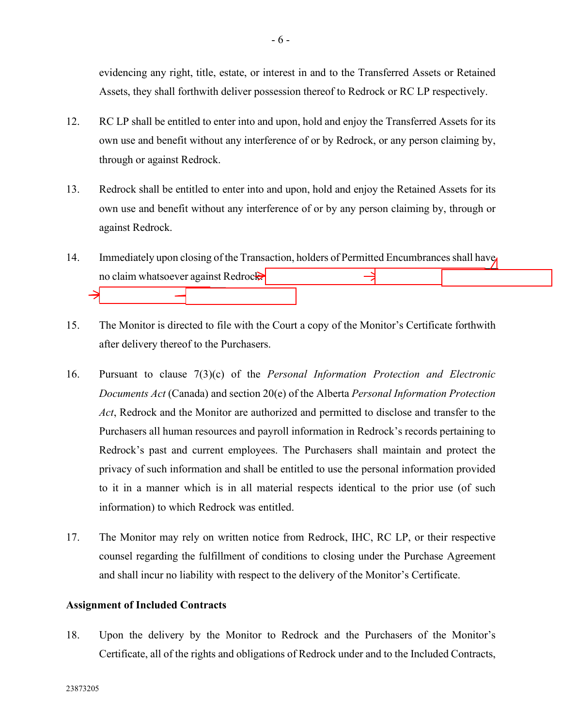evidencing any right, title, estate, or interest in and to the Transferred Assets or Retained Assets, they shall forthwith deliver possession thereof to Redrock or RC LP respectively.

- 12. RC LP shall be entitled to enter into and upon, hold and enjoy the Transferred Assets for its own use and benefit without any interference of or by Redrock, or any person claiming by, through or against Redrock.
- 13. Redrock shall be entitled to enter into and upon, hold and enjoy the Retained Assets for its own use and benefit without any interference of or by any person claiming by, through or against Redrock.
- 14. Immediately upon closing of the Transaction, holders of Permitted Encumbrances shall have no claim whatsoever against Redrock
- 15. The Monitor is directed to file with the Court a copy of the Monitor's Certificate forthwith after delivery thereof to the Purchasers.
- 16. Pursuant to clause 7(3)(c) of the *Personal Information Protection and Electronic Documents Act* (Canada) and section 20(e) of the Alberta *Personal Information Protection Act*, Redrock and the Monitor are authorized and permitted to disclose and transfer to the Purchasers all human resources and payroll information in Redrock's records pertaining to Redrock's past and current employees. The Purchasers shall maintain and protect the privacy of such information and shall be entitled to use the personal information provided to it in a manner which is in all material respects identical to the prior use (of such information) to which Redrock was entitled.
- 17. The Monitor may rely on written notice from Redrock, IHC, RC LP, or their respective counsel regarding the fulfillment of conditions to closing under the Purchase Agreement and shall incur no liability with respect to the delivery of the Monitor's Certificate.

## **Assignment of Included Contracts**

<span id="page-21-0"></span>18. Upon the delivery by the Monitor to Redrock and the Purchasers of the Monitor's Certificate, all of the rights and obligations of Redrock under and to the Included Contracts,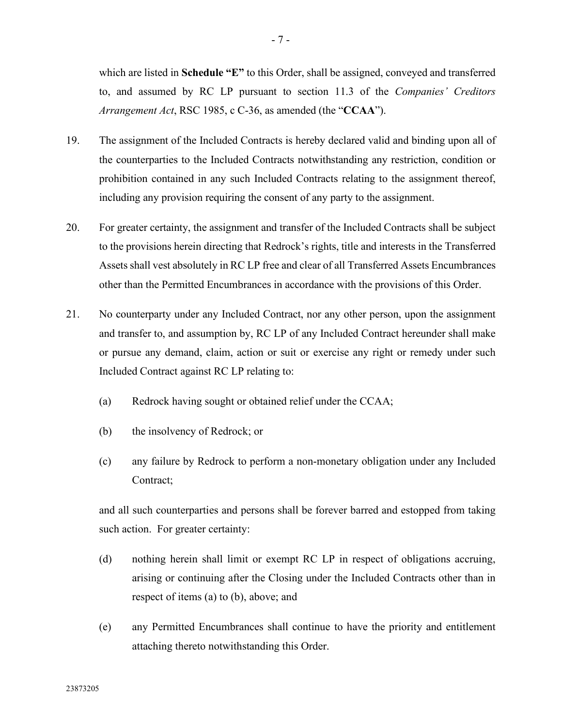which are listed in **Schedule "E"** to this Order, shall be assigned, conveyed and transferred to, and assumed by RC LP pursuant to section 11.3 of the *Companies' Creditors Arrangement Act*, RSC 1985, c C-36, as amended (the "**CCAA**").

- 19. The assignment of the Included Contracts is hereby declared valid and binding upon all of the counterparties to the Included Contracts notwithstanding any restriction, condition or prohibition contained in any such Included Contracts relating to the assignment thereof, including any provision requiring the consent of any party to the assignment.
- 20. For greater certainty, the assignment and transfer of the Included Contracts shall be subject to the provisions herein directing that Redrock's rights, title and interests in the Transferred Assets shall vest absolutely in RC LP free and clear of all Transferred Assets Encumbrances other than the Permitted Encumbrances in accordance with the provisions of this Order.
- 21. No counterparty under any Included Contract, nor any other person, upon the assignment and transfer to, and assumption by, RC LP of any Included Contract hereunder shall make or pursue any demand, claim, action or suit or exercise any right or remedy under such Included Contract against RC LP relating to:
	- (a) Redrock having sought or obtained relief under the CCAA;
	- (b) the insolvency of Redrock; or
	- (c) any failure by Redrock to perform a non-monetary obligation under any Included Contract;

and all such counterparties and persons shall be forever barred and estopped from taking such action. For greater certainty:

- (d) nothing herein shall limit or exempt RC LP in respect of obligations accruing, arising or continuing after the Closing under the Included Contracts other than in respect of items (a) to (b), above; and
- (e) any Permitted Encumbrances shall continue to have the priority and entitlement attaching thereto notwithstanding this Order.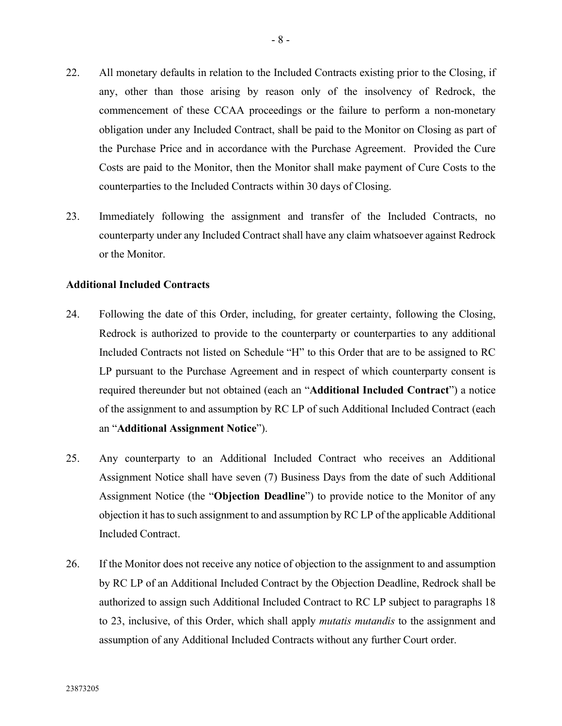- 22. All monetary defaults in relation to the Included Contracts existing prior to the Closing, if any, other than those arising by reason only of the insolvency of Redrock, the commencement of these CCAA proceedings or the failure to perform a non-monetary obligation under any Included Contract, shall be paid to the Monitor on Closing as part of the Purchase Price and in accordance with the Purchase Agreement. Provided the Cure Costs are paid to the Monitor, then the Monitor shall make payment of Cure Costs to the counterparties to the Included Contracts within 30 days of Closing.
- <span id="page-23-0"></span>23. Immediately following the assignment and transfer of the Included Contracts, no counterparty under any Included Contract shall have any claim whatsoever against Redrock or the Monitor.

#### **Additional Included Contracts**

- 24. Following the date of this Order, including, for greater certainty, following the Closing, Redrock is authorized to provide to the counterparty or counterparties to any additional Included Contracts not listed on Schedule "H" to this Order that are to be assigned to RC LP pursuant to the Purchase Agreement and in respect of which counterparty consent is required thereunder but not obtained (each an "**Additional Included Contract**") a notice of the assignment to and assumption by RC LP of such Additional Included Contract (each an "**Additional Assignment Notice**").
- 25. Any counterparty to an Additional Included Contract who receives an Additional Assignment Notice shall have seven (7) Business Days from the date of such Additional Assignment Notice (the "**Objection Deadline**") to provide notice to the Monitor of any objection it has to such assignment to and assumption by RC LP of the applicable Additional Included Contract.
- 26. If the Monitor does not receive any notice of objection to the assignment to and assumption by RC LP of an Additional Included Contract by the Objection Deadline, Redrock shall be authorized to assign such Additional Included Contract to RC LP subject to paragraphs [18](#page-21-0) to [23,](#page-23-0) inclusive, of this Order, which shall apply *mutatis mutandis* to the assignment and assumption of any Additional Included Contracts without any further Court order.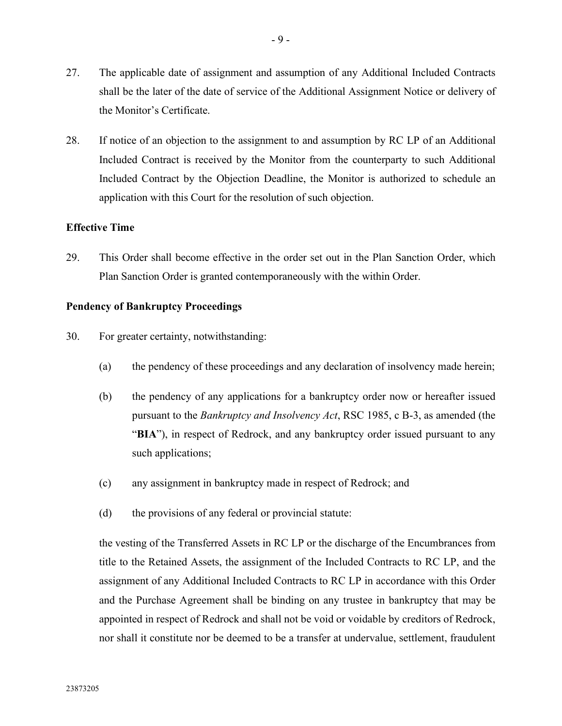- 27. The applicable date of assignment and assumption of any Additional Included Contracts shall be the later of the date of service of the Additional Assignment Notice or delivery of the Monitor's Certificate.
- 28. If notice of an objection to the assignment to and assumption by RC LP of an Additional Included Contract is received by the Monitor from the counterparty to such Additional Included Contract by the Objection Deadline, the Monitor is authorized to schedule an application with this Court for the resolution of such objection.

#### **Effective Time**

29. This Order shall become effective in the order set out in the Plan Sanction Order, which Plan Sanction Order is granted contemporaneously with the within Order.

#### **Pendency of Bankruptcy Proceedings**

- 30. For greater certainty, notwithstanding:
	- (a) the pendency of these proceedings and any declaration of insolvency made herein;
	- (b) the pendency of any applications for a bankruptcy order now or hereafter issued pursuant to the *Bankruptcy and Insolvency Act*, RSC 1985, c B-3, as amended (the "BIA"), in respect of Redrock, and any bankruptcy order issued pursuant to any such applications;
	- (c) any assignment in bankruptcy made in respect of Redrock; and
	- (d) the provisions of any federal or provincial statute:

the vesting of the Transferred Assets in RC LP or the discharge of the Encumbrances from title to the Retained Assets, the assignment of the Included Contracts to RC LP, and the assignment of any Additional Included Contracts to RC LP in accordance with this Order and the Purchase Agreement shall be binding on any trustee in bankruptcy that may be appointed in respect of Redrock and shall not be void or voidable by creditors of Redrock, nor shall it constitute nor be deemed to be a transfer at undervalue, settlement, fraudulent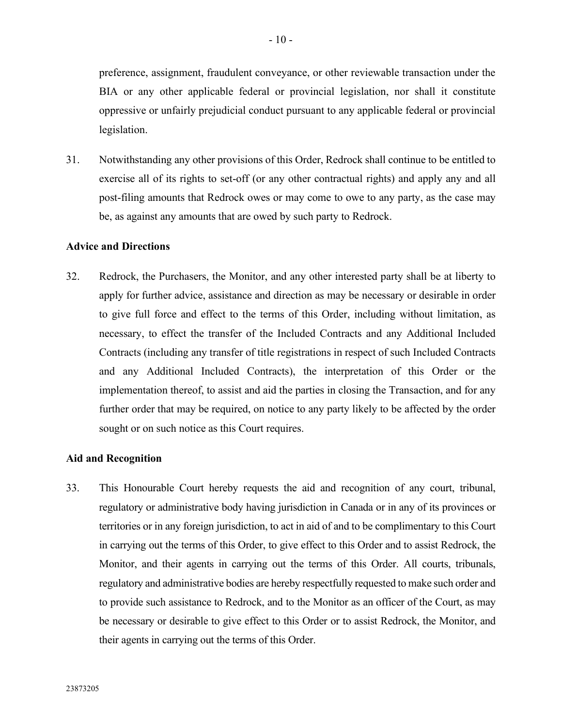preference, assignment, fraudulent conveyance, or other reviewable transaction under the BIA or any other applicable federal or provincial legislation, nor shall it constitute oppressive or unfairly prejudicial conduct pursuant to any applicable federal or provincial legislation.

31. Notwithstanding any other provisions of this Order, Redrock shall continue to be entitled to exercise all of its rights to set-off (or any other contractual rights) and apply any and all post-filing amounts that Redrock owes or may come to owe to any party, as the case may be, as against any amounts that are owed by such party to Redrock.

#### **Advice and Directions**

32. Redrock, the Purchasers, the Monitor, and any other interested party shall be at liberty to apply for further advice, assistance and direction as may be necessary or desirable in order to give full force and effect to the terms of this Order, including without limitation, as necessary, to effect the transfer of the Included Contracts and any Additional Included Contracts (including any transfer of title registrations in respect of such Included Contracts and any Additional Included Contracts), the interpretation of this Order or the implementation thereof, to assist and aid the parties in closing the Transaction, and for any further order that may be required, on notice to any party likely to be affected by the order sought or on such notice as this Court requires.

## **Aid and Recognition**

33. This Honourable Court hereby requests the aid and recognition of any court, tribunal, regulatory or administrative body having jurisdiction in Canada or in any of its provinces or territories or in any foreign jurisdiction, to act in aid of and to be complimentary to this Court in carrying out the terms of this Order, to give effect to this Order and to assist Redrock, the Monitor, and their agents in carrying out the terms of this Order. All courts, tribunals, regulatory and administrative bodies are hereby respectfully requested to make such order and to provide such assistance to Redrock, and to the Monitor as an officer of the Court, as may be necessary or desirable to give effect to this Order or to assist Redrock, the Monitor, and their agents in carrying out the terms of this Order.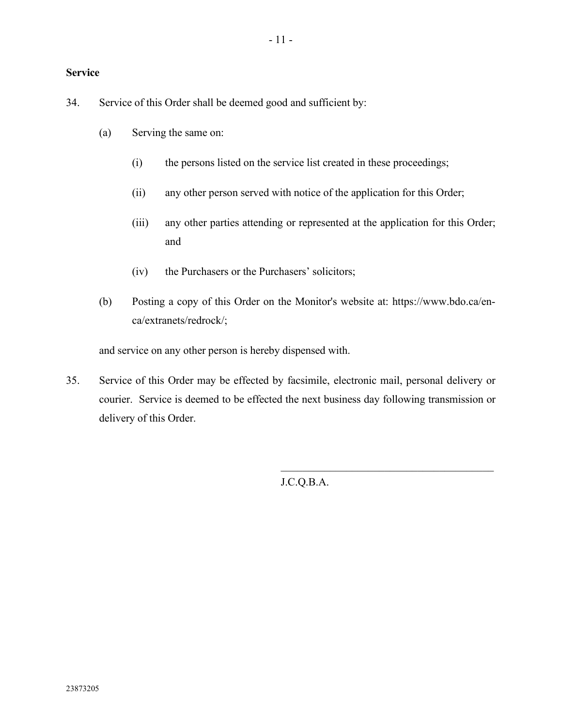## **Service**

34. Service of this Order shall be deemed good and sufficient by:

- (a) Serving the same on:
	- (i) the persons listed on the service list created in these proceedings;
	- (ii) any other person served with notice of the application for this Order;
	- (iii) any other parties attending or represented at the application for this Order; and
	- (iv) the Purchasers or the Purchasers' solicitors;
- (b) Posting a copy of this Order on the Monitor's website at: https://www.bdo.ca/enca/extranets/redrock/;

and service on any other person is hereby dispensed with.

35. Service of this Order may be effected by facsimile, electronic mail, personal delivery or courier. Service is deemed to be effected the next business day following transmission or delivery of this Order.

J.C.Q.B.A.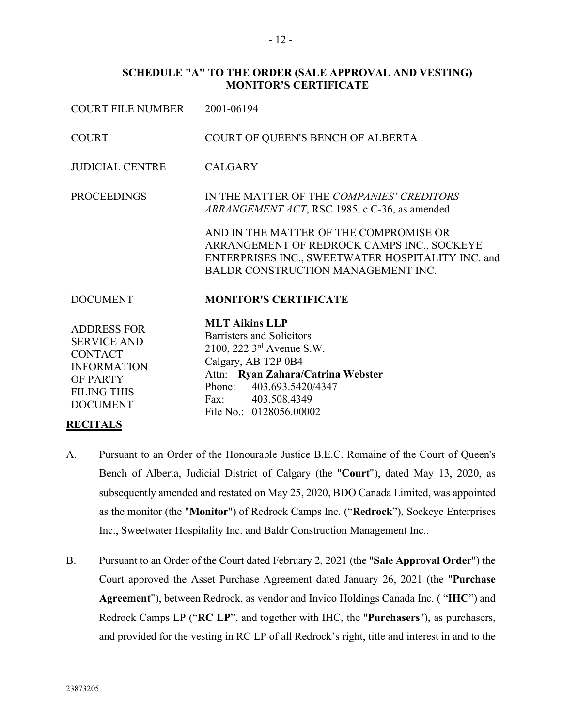#### **SCHEDULE "A" TO THE ORDER (SALE APPROVAL AND VESTING) MONITOR'S CERTIFICATE**

| COURT FILE NUMBER                                                                                                                     | 2001-06194                                                                                                                                                                                                                             |
|---------------------------------------------------------------------------------------------------------------------------------------|----------------------------------------------------------------------------------------------------------------------------------------------------------------------------------------------------------------------------------------|
| <b>COURT</b>                                                                                                                          | COURT OF QUEEN'S BENCH OF ALBERTA                                                                                                                                                                                                      |
| <b>JUDICIAL CENTRE</b>                                                                                                                | <b>CALGARY</b>                                                                                                                                                                                                                         |
| <b>PROCEEDINGS</b>                                                                                                                    | IN THE MATTER OF THE COMPANIES' CREDITORS<br>ARRANGEMENT ACT, RSC 1985, c C-36, as amended                                                                                                                                             |
|                                                                                                                                       | AND IN THE MATTER OF THE COMPROMISE OR<br>ARRANGEMENT OF REDROCK CAMPS INC., SOCKEYE<br>ENTERPRISES INC., SWEETWATER HOSPITALITY INC. and<br>BALDR CONSTRUCTION MANAGEMENT INC.                                                        |
| <b>DOCUMENT</b>                                                                                                                       | <b>MONITOR'S CERTIFICATE</b>                                                                                                                                                                                                           |
| <b>ADDRESS FOR</b><br><b>SERVICE AND</b><br><b>CONTACT</b><br><b>INFORMATION</b><br>OF PARTY<br><b>FILING THIS</b><br><b>DOCUMENT</b> | <b>MLT Aikins LLP</b><br>Barristers and Solicitors<br>2100, 222 3 <sup>rd</sup> Avenue S.W.<br>Calgary, AB T2P 0B4<br>Attn: Ryan Zahara/Catrina Webster<br>Phone:<br>403.693.5420/4347<br>Fax: 403.508.4349<br>File No.: 0128056.00002 |
| <b>RECITALS</b>                                                                                                                       |                                                                                                                                                                                                                                        |

- A. Pursuant to an Order of the Honourable Justice B.E.C. Romaine of the Court of Queen's Bench of Alberta, Judicial District of Calgary (the "**Court**"), dated May 13, 2020, as subsequently amended and restated on May 25, 2020, BDO Canada Limited, was appointed as the monitor (the "**Monitor**") of Redrock Camps Inc. ("**Redrock**"), Sockeye Enterprises Inc., Sweetwater Hospitality Inc. and Baldr Construction Management Inc..
- B. Pursuant to an Order of the Court dated February 2, 2021 (the "**Sale Approval Order**") the Court approved the Asset Purchase Agreement dated January 26, 2021 (the "**Purchase Agreement**"), between Redrock, as vendor and Invico Holdings Canada Inc. ( "**IHC**") and Redrock Camps LP ("**RC LP**", and together with IHC, the "**Purchasers**"), as purchasers, and provided for the vesting in RC LP of all Redrock's right, title and interest in and to the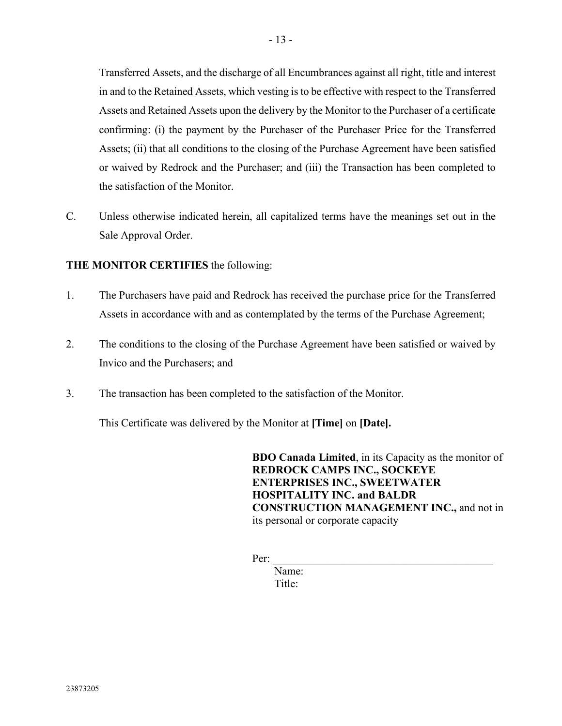Transferred Assets, and the discharge of all Encumbrances against all right, title and interest in and to the Retained Assets, which vesting is to be effective with respect to the Transferred Assets and Retained Assets upon the delivery by the Monitor to the Purchaser of a certificate confirming: (i) the payment by the Purchaser of the Purchaser Price for the Transferred Assets; (ii) that all conditions to the closing of the Purchase Agreement have been satisfied or waived by Redrock and the Purchaser; and (iii) the Transaction has been completed to the satisfaction of the Monitor.

C. Unless otherwise indicated herein, all capitalized terms have the meanings set out in the Sale Approval Order.

## **THE MONITOR CERTIFIES** the following:

- 1. The Purchasers have paid and Redrock has received the purchase price for the Transferred Assets in accordance with and as contemplated by the terms of the Purchase Agreement;
- 2. The conditions to the closing of the Purchase Agreement have been satisfied or waived by Invico and the Purchasers; and
- 3. The transaction has been completed to the satisfaction of the Monitor.

This Certificate was delivered by the Monitor at **[Time]** on **[Date].**

**BDO Canada Limited**, in its Capacity as the monitor of **REDROCK CAMPS INC., SOCKEYE ENTERPRISES INC., SWEETWATER HOSPITALITY INC. and BALDR CONSTRUCTION MANAGEMENT INC.,** and not in its personal or corporate capacity

Per: \_\_\_\_\_\_\_\_\_\_\_\_\_\_\_\_\_\_\_\_\_\_\_\_\_\_\_\_\_\_\_\_\_\_\_\_\_\_\_\_

 Name: Title: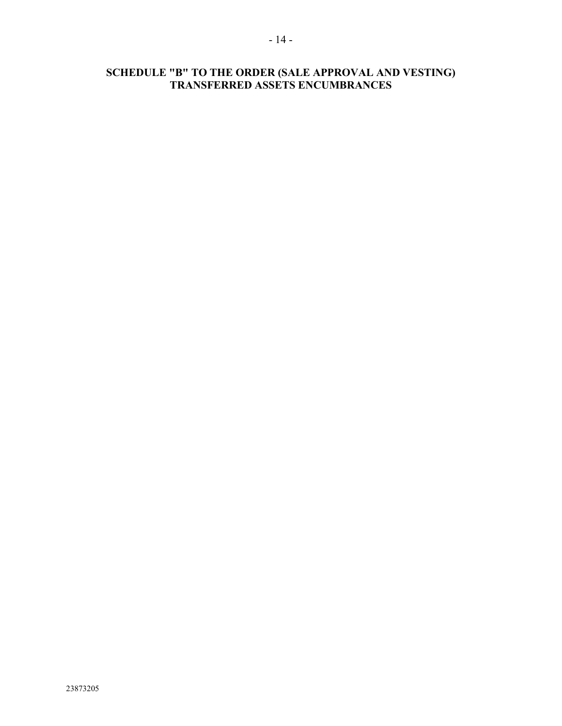# **SCHEDULE "B" TO THE ORDER (SALE APPROVAL AND VESTING) TRANSFERRED ASSETS ENCUMBRANCES**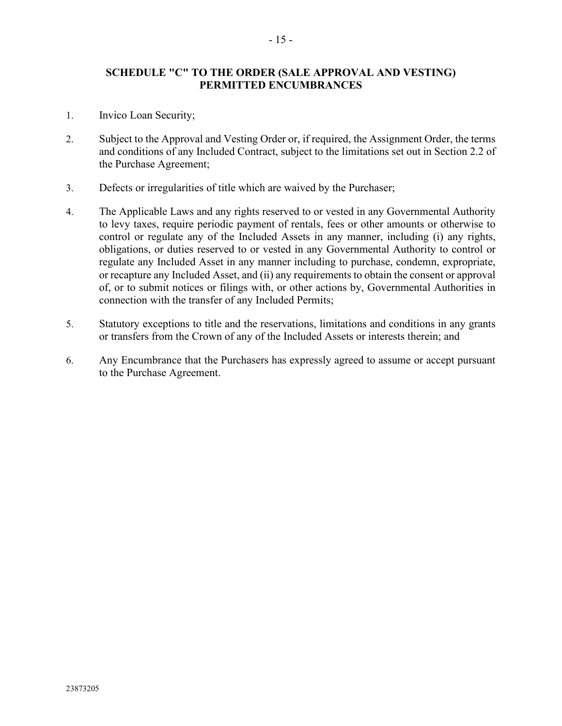## **SCHEDULE "C" TO THE ORDER (SALE APPROVAL AND VESTING) PERMITTED ENCUMBRANCES**

- 1. Invico Loan Security;
- 2. Subject to the Approval and Vesting Order or, if required, the Assignment Order, the terms and conditions of any Included Contract, subject to the limitations set out in Section 2.2 of the Purchase Agreement;
- 3. Defects or irregularities of title which are waived by the Purchaser;
- 4. The Applicable Laws and any rights reserved to or vested in any Governmental Authority to levy taxes, require periodic payment of rentals, fees or other amounts or otherwise to control or regulate any of the Included Assets in any manner, including (i) any rights, obligations, or duties reserved to or vested in any Governmental Authority to control or regulate any Included Asset in any manner including to purchase, condemn, expropriate, or recapture any Included Asset, and (ii) any requirements to obtain the consent or approval of, or to submit notices or filings with, or other actions by, Governmental Authorities in connection with the transfer of any Included Permits;
- 5. Statutory exceptions to title and the reservations, limitations and conditions in any grants or transfers from the Crown of any of the Included Assets or interests therein; and
- 6. Any Encumbrance that the Purchasers has expressly agreed to assume or accept pursuant to the Purchase Agreement.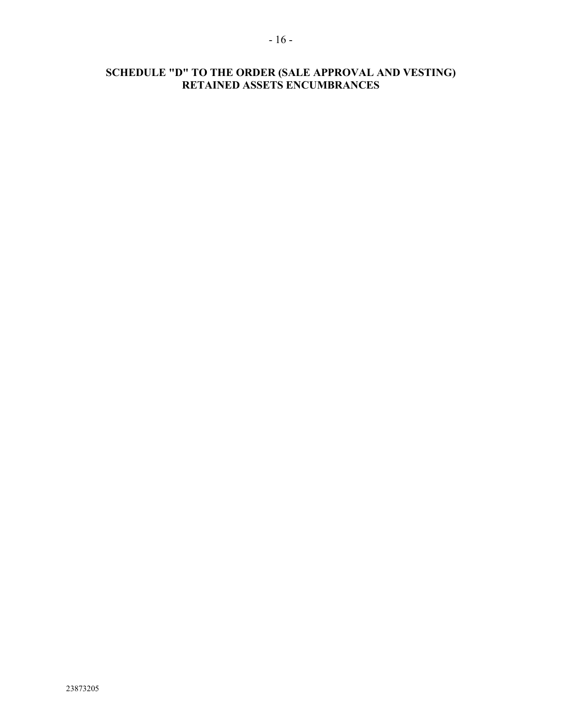# **SCHEDULE "D" TO THE ORDER (SALE APPROVAL AND VESTING) RETAINED ASSETS ENCUMBRANCES**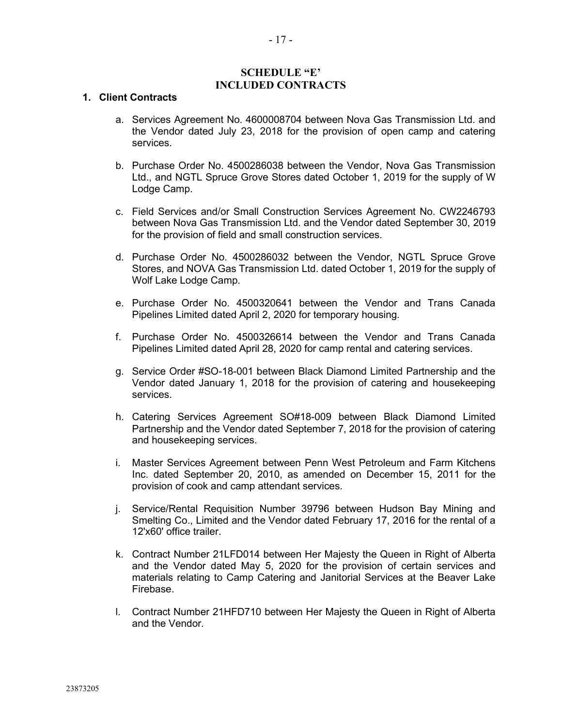#### **SCHEDULE "E' INCLUDED CONTRACTS**

#### **1. Client Contracts**

- a. Services Agreement No. 4600008704 between Nova Gas Transmission Ltd. and the Vendor dated July 23, 2018 for the provision of open camp and catering services.
- b. Purchase Order No. 4500286038 between the Vendor, Nova Gas Transmission Ltd., and NGTL Spruce Grove Stores dated October 1, 2019 for the supply of W Lodge Camp.
- c. Field Services and/or Small Construction Services Agreement No. CW2246793 between Nova Gas Transmission Ltd. and the Vendor dated September 30, 2019 for the provision of field and small construction services.
- d. Purchase Order No. 4500286032 between the Vendor, NGTL Spruce Grove Stores, and NOVA Gas Transmission Ltd. dated October 1, 2019 for the supply of Wolf Lake Lodge Camp.
- e. Purchase Order No. 4500320641 between the Vendor and Trans Canada Pipelines Limited dated April 2, 2020 for temporary housing.
- f. Purchase Order No. 4500326614 between the Vendor and Trans Canada Pipelines Limited dated April 28, 2020 for camp rental and catering services.
- g. Service Order #SO-18-001 between Black Diamond Limited Partnership and the Vendor dated January 1, 2018 for the provision of catering and housekeeping services.
- h. Catering Services Agreement SO#18-009 between Black Diamond Limited Partnership and the Vendor dated September 7, 2018 for the provision of catering and housekeeping services.
- i. Master Services Agreement between Penn West Petroleum and Farm Kitchens Inc. dated September 20, 2010, as amended on December 15, 2011 for the provision of cook and camp attendant services.
- j. Service/Rental Requisition Number 39796 between Hudson Bay Mining and Smelting Co., Limited and the Vendor dated February 17, 2016 for the rental of a 12'x60' office trailer.
- k. Contract Number 21LFD014 between Her Majesty the Queen in Right of Alberta and the Vendor dated May 5, 2020 for the provision of certain services and materials relating to Camp Catering and Janitorial Services at the Beaver Lake Firebase.
- l. Contract Number 21HFD710 between Her Majesty the Queen in Right of Alberta and the Vendor.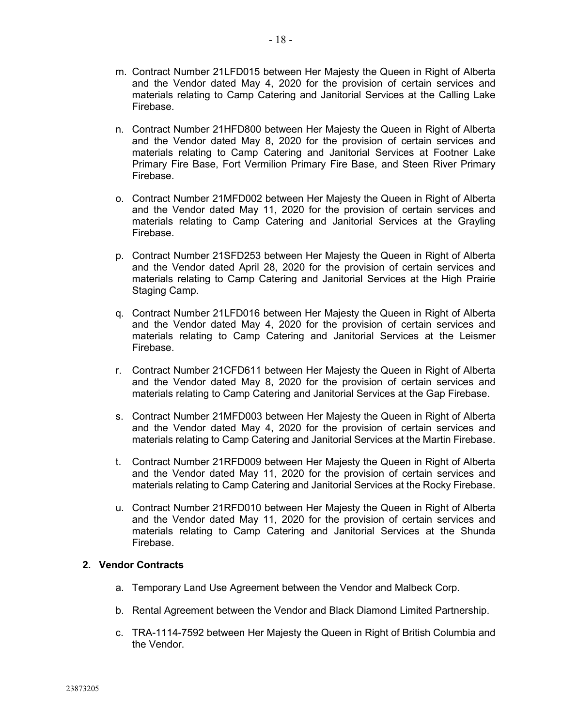- m. Contract Number 21LFD015 between Her Majesty the Queen in Right of Alberta and the Vendor dated May 4, 2020 for the provision of certain services and materials relating to Camp Catering and Janitorial Services at the Calling Lake Firebase.
- n. Contract Number 21HFD800 between Her Majesty the Queen in Right of Alberta and the Vendor dated May 8, 2020 for the provision of certain services and materials relating to Camp Catering and Janitorial Services at Footner Lake Primary Fire Base, Fort Vermilion Primary Fire Base, and Steen River Primary Firebase.
- o. Contract Number 21MFD002 between Her Majesty the Queen in Right of Alberta and the Vendor dated May 11, 2020 for the provision of certain services and materials relating to Camp Catering and Janitorial Services at the Grayling Firebase.
- p. Contract Number 21SFD253 between Her Majesty the Queen in Right of Alberta and the Vendor dated April 28, 2020 for the provision of certain services and materials relating to Camp Catering and Janitorial Services at the High Prairie Staging Camp.
- q. Contract Number 21LFD016 between Her Majesty the Queen in Right of Alberta and the Vendor dated May 4, 2020 for the provision of certain services and materials relating to Camp Catering and Janitorial Services at the Leismer Firebase.
- r. Contract Number 21CFD611 between Her Majesty the Queen in Right of Alberta and the Vendor dated May 8, 2020 for the provision of certain services and materials relating to Camp Catering and Janitorial Services at the Gap Firebase.
- s. Contract Number 21MFD003 between Her Majesty the Queen in Right of Alberta and the Vendor dated May 4, 2020 for the provision of certain services and materials relating to Camp Catering and Janitorial Services at the Martin Firebase.
- t. Contract Number 21RFD009 between Her Majesty the Queen in Right of Alberta and the Vendor dated May 11, 2020 for the provision of certain services and materials relating to Camp Catering and Janitorial Services at the Rocky Firebase.
- u. Contract Number 21RFD010 between Her Majesty the Queen in Right of Alberta and the Vendor dated May 11, 2020 for the provision of certain services and materials relating to Camp Catering and Janitorial Services at the Shunda Firebase.

## **2. Vendor Contracts**

- a. Temporary Land Use Agreement between the Vendor and Malbeck Corp.
- b. Rental Agreement between the Vendor and Black Diamond Limited Partnership.
- c. TRA-1114-7592 between Her Majesty the Queen in Right of British Columbia and the Vendor.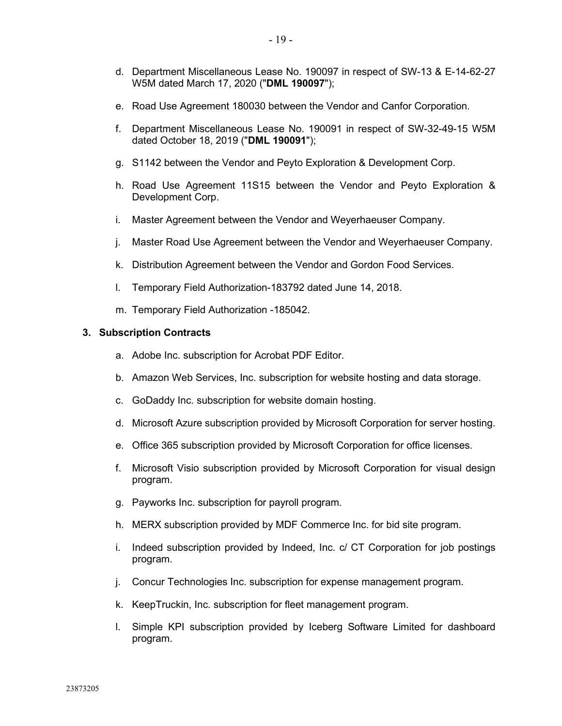- e. Road Use Agreement 180030 between the Vendor and Canfor Corporation.
- f. Department Miscellaneous Lease No. 190091 in respect of SW-32-49-15 W5M dated October 18, 2019 ("**DML 190091**");
- g. S1142 between the Vendor and Peyto Exploration & Development Corp.
- h. Road Use Agreement 11S15 between the Vendor and Peyto Exploration & Development Corp.
- i. Master Agreement between the Vendor and Weyerhaeuser Company.
- j. Master Road Use Agreement between the Vendor and Weyerhaeuser Company.
- k. Distribution Agreement between the Vendor and Gordon Food Services.
- l. Temporary Field Authorization-183792 dated June 14, 2018.
- m. Temporary Field Authorization -185042.

#### **3. Subscription Contracts**

- a. Adobe Inc. subscription for Acrobat PDF Editor.
- b. Amazon Web Services, Inc. subscription for website hosting and data storage.
- c. GoDaddy Inc. subscription for website domain hosting.
- d. Microsoft Azure subscription provided by Microsoft Corporation for server hosting.
- e. Office 365 subscription provided by Microsoft Corporation for office licenses.
- f. Microsoft Visio subscription provided by Microsoft Corporation for visual design program.
- g. Payworks Inc. subscription for payroll program.
- h. MERX subscription provided by MDF Commerce Inc. for bid site program.
- i. Indeed subscription provided by Indeed, Inc. c/ CT Corporation for job postings program.
- j. Concur Technologies Inc. subscription for expense management program.
- k. KeepTruckin, Inc. subscription for fleet management program.
- l. Simple KPI subscription provided by Iceberg Software Limited for dashboard program.

W5M dated March 17, 2020 ("**DML 190097**");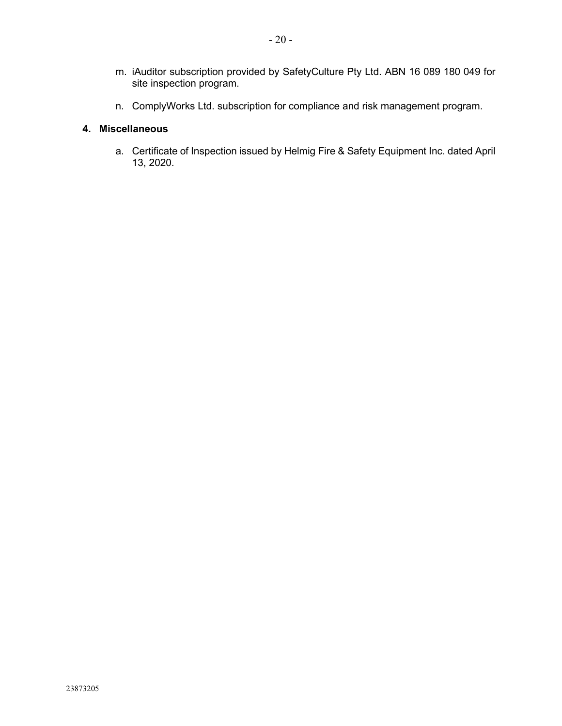- m. iAuditor subscription provided by SafetyCulture Pty Ltd. ABN 16 089 180 049 for site inspection program.
- n. ComplyWorks Ltd. subscription for compliance and risk management program.

# **4. Miscellaneous**

a. Certificate of Inspection issued by Helmig Fire & Safety Equipment Inc. dated April 13, 2020.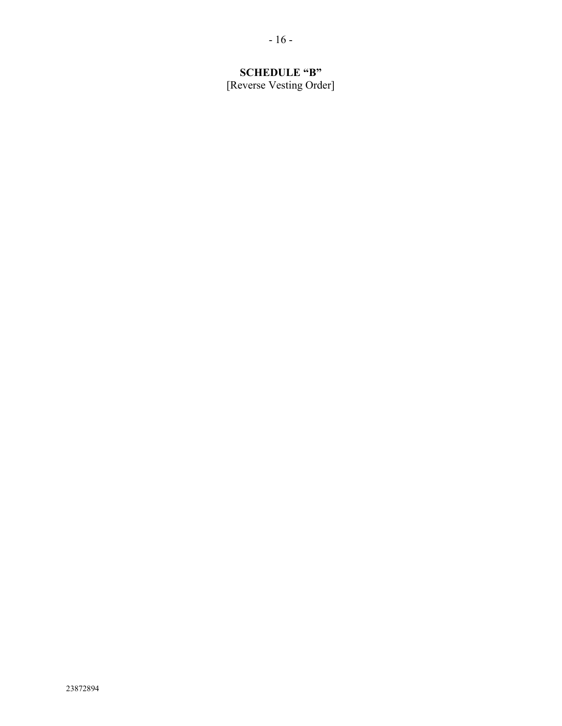# **SCHEDULE "B"**

[Reverse Vesting Order]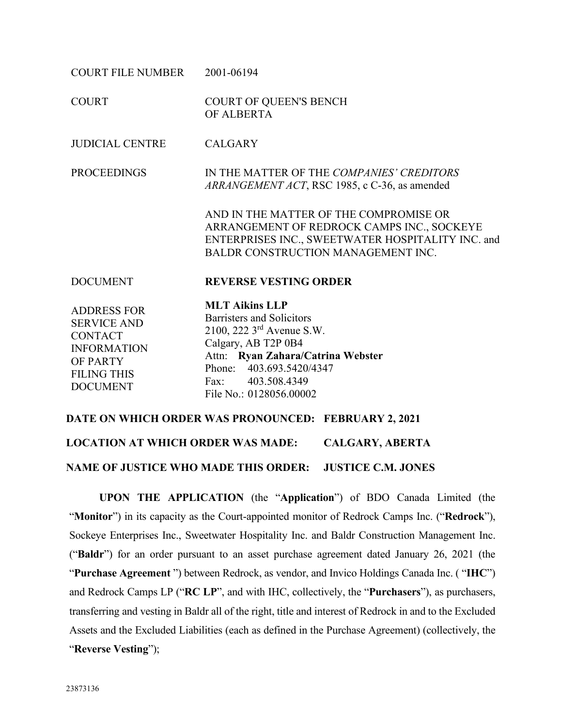| COURT FILE NUMBER                                                                                                                     | 2001-06194                                                                                                                                                                                                                          |
|---------------------------------------------------------------------------------------------------------------------------------------|-------------------------------------------------------------------------------------------------------------------------------------------------------------------------------------------------------------------------------------|
| <b>COURT</b>                                                                                                                          | <b>COURT OF QUEEN'S BENCH</b><br>OF ALBERTA                                                                                                                                                                                         |
| <b>JUDICIAL CENTRE</b>                                                                                                                | <b>CALGARY</b>                                                                                                                                                                                                                      |
| <b>PROCEEDINGS</b>                                                                                                                    | IN THE MATTER OF THE COMPANIES' CREDITORS<br>ARRANGEMENT ACT, RSC 1985, c C-36, as amended                                                                                                                                          |
|                                                                                                                                       | AND IN THE MATTER OF THE COMPROMISE OR<br>ARRANGEMENT OF REDROCK CAMPS INC., SOCKEYE<br>ENTERPRISES INC., SWEETWATER HOSPITALITY INC. and<br>BALDR CONSTRUCTION MANAGEMENT INC.                                                     |
| <b>DOCUMENT</b>                                                                                                                       | <b>REVERSE VESTING ORDER</b>                                                                                                                                                                                                        |
| <b>ADDRESS FOR</b><br><b>SERVICE AND</b><br><b>CONTACT</b><br><b>INFORMATION</b><br>OF PARTY<br><b>FILING THIS</b><br><b>DOCUMENT</b> | <b>MLT Aikins LLP</b><br>Barristers and Solicitors<br>2100, 222 3 <sup>rd</sup> Avenue S.W.<br>Calgary, AB T2P 0B4<br>Attn: Ryan Zahara/Catrina Webster<br>Phone: 403.693.5420/4347<br>Fax: 403.508.4349<br>File No.: 0128056.00002 |

**DATE ON WHICH ORDER WAS PRONOUNCED: FEBRUARY 2, 2021 LOCATION AT WHICH ORDER WAS MADE: CALGARY, ABERTA NAME OF JUSTICE WHO MADE THIS ORDER: JUSTICE C.M. JONES**

**UPON THE APPLICATION** (the "**Application**") of BDO Canada Limited (the "**Monitor**") in its capacity as the Court-appointed monitor of Redrock Camps Inc. ("**Redrock**"), Sockeye Enterprises Inc., Sweetwater Hospitality Inc. and Baldr Construction Management Inc. ("**Baldr**") for an order pursuant to an asset purchase agreement dated January 26, 2021 (the "**Purchase Agreement** ") between Redrock, as vendor, and Invico Holdings Canada Inc. ( "**IHC**") and Redrock Camps LP ("**RC LP**", and with IHC, collectively, the "**Purchasers**"), as purchasers, transferring and vesting in Baldr all of the right, title and interest of Redrock in and to the Excluded Assets and the Excluded Liabilities (each as defined in the Purchase Agreement) (collectively, the "**Reverse Vesting**");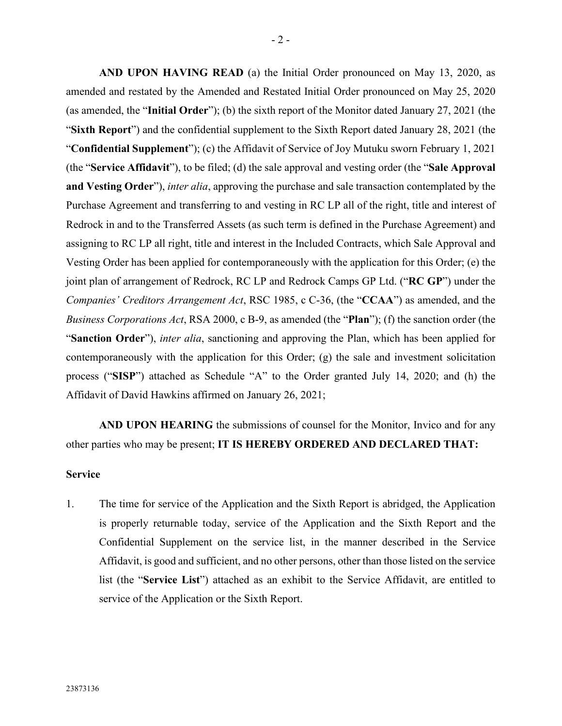**AND UPON HAVING READ** (a) the Initial Order pronounced on May 13, 2020, as amended and restated by the Amended and Restated Initial Order pronounced on May 25, 2020 (as amended, the "**Initial Order**"); (b) the sixth report of the Monitor dated January 27, 2021 (the "**Sixth Report**") and the confidential supplement to the Sixth Report dated January 28, 2021 (the "**Confidential Supplement**"); (c) the Affidavit of Service of Joy Mutuku sworn February 1, 2021 (the "**Service Affidavit**"), to be filed; (d) the sale approval and vesting order (the "**Sale Approval and Vesting Order**"), *inter alia*, approving the purchase and sale transaction contemplated by the Purchase Agreement and transferring to and vesting in RC LP all of the right, title and interest of Redrock in and to the Transferred Assets (as such term is defined in the Purchase Agreement) and assigning to RC LP all right, title and interest in the Included Contracts, which Sale Approval and Vesting Order has been applied for contemporaneously with the application for this Order; (e) the joint plan of arrangement of Redrock, RC LP and Redrock Camps GP Ltd. ("**RC GP**") under the *Companies' Creditors Arrangement Act*, RSC 1985, c C-36, (the "**CCAA**") as amended, and the *Business Corporations Act*, RSA 2000, c B-9, as amended (the "**Plan**"); (f) the sanction order (the "**Sanction Order**"), *inter alia*, sanctioning and approving the Plan, which has been applied for contemporaneously with the application for this Order; (g) the sale and investment solicitation process ("**SISP**") attached as Schedule "A" to the Order granted July 14, 2020; and (h) the Affidavit of David Hawkins affirmed on January 26, 2021;

**AND UPON HEARING** the submissions of counsel for the Monitor, Invico and for any other parties who may be present; **IT IS HEREBY ORDERED AND DECLARED THAT:** 

#### **Service**

1. The time for service of the Application and the Sixth Report is abridged, the Application is properly returnable today, service of the Application and the Sixth Report and the Confidential Supplement on the service list, in the manner described in the Service Affidavit, is good and sufficient, and no other persons, other than those listed on the service list (the "**Service List**") attached as an exhibit to the Service Affidavit, are entitled to service of the Application or the Sixth Report.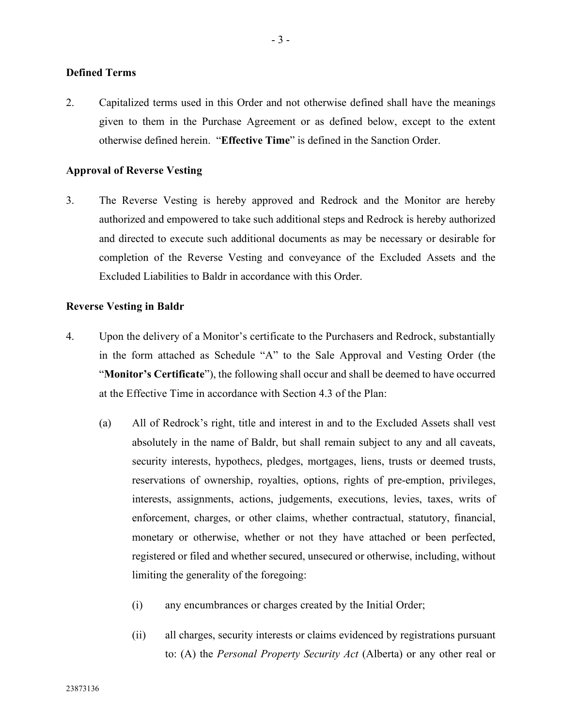#### **Defined Terms**

2. Capitalized terms used in this Order and not otherwise defined shall have the meanings given to them in the Purchase Agreement or as defined below, except to the extent otherwise defined herein. "**Effective Time**" is defined in the Sanction Order.

#### **Approval of Reverse Vesting**

3. The Reverse Vesting is hereby approved and Redrock and the Monitor are hereby authorized and empowered to take such additional steps and Redrock is hereby authorized and directed to execute such additional documents as may be necessary or desirable for completion of the Reverse Vesting and conveyance of the Excluded Assets and the Excluded Liabilities to Baldr in accordance with this Order.

#### **Reverse Vesting in Baldr**

- <span id="page-39-1"></span><span id="page-39-0"></span>4. Upon the delivery of a Monitor's certificate to the Purchasers and Redrock, substantially in the form attached as Schedule "A" to the Sale Approval and Vesting Order (the "**Monitor's Certificate**"), the following shall occur and shall be deemed to have occurred at the Effective Time in accordance with Section 4.3 of the Plan:
	- (a) All of Redrock's right, title and interest in and to the Excluded Assets shall vest absolutely in the name of Baldr, but shall remain subject to any and all caveats, security interests, hypothecs, pledges, mortgages, liens, trusts or deemed trusts, reservations of ownership, royalties, options, rights of pre-emption, privileges, interests, assignments, actions, judgements, executions, levies, taxes, writs of enforcement, charges, or other claims, whether contractual, statutory, financial, monetary or otherwise, whether or not they have attached or been perfected, registered or filed and whether secured, unsecured or otherwise, including, without limiting the generality of the foregoing:
		- (i) any encumbrances or charges created by the Initial Order;
		- (ii) all charges, security interests or claims evidenced by registrations pursuant to: (A) the *Personal Property Security Act* (Alberta) or any other real or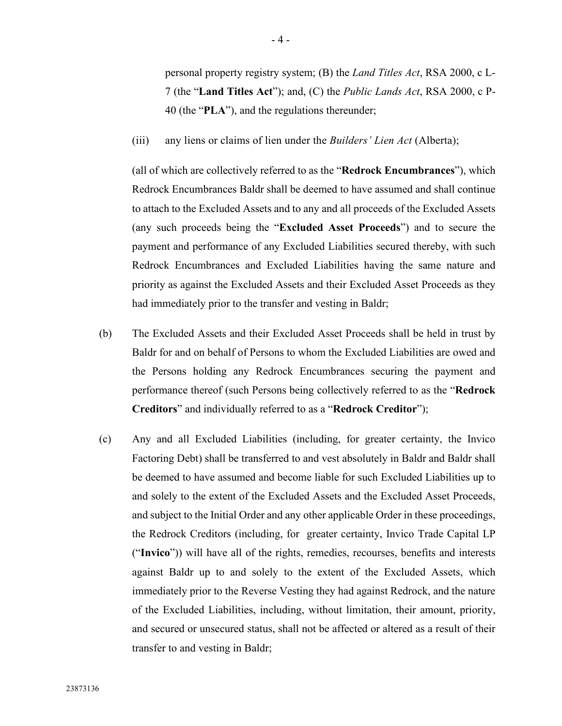personal property registry system; (B) the *Land Titles Act*, RSA 2000, c L-7 (the "**Land Titles Act**"); and, (C) the *Public Lands Act*, RSA 2000, c P-40 (the "**PLA**"), and the regulations thereunder;

(iii) any liens or claims of lien under the *Builders' Lien Act* (Alberta);

(all of which are collectively referred to as the "**Redrock Encumbrances**"), which Redrock Encumbrances Baldr shall be deemed to have assumed and shall continue to attach to the Excluded Assets and to any and all proceeds of the Excluded Assets (any such proceeds being the "**Excluded Asset Proceeds**") and to secure the payment and performance of any Excluded Liabilities secured thereby, with such Redrock Encumbrances and Excluded Liabilities having the same nature and priority as against the Excluded Assets and their Excluded Asset Proceeds as they had immediately prior to the transfer and vesting in Baldr;

- (b) The Excluded Assets and their Excluded Asset Proceeds shall be held in trust by Baldr for and on behalf of Persons to whom the Excluded Liabilities are owed and the Persons holding any Redrock Encumbrances securing the payment and performance thereof (such Persons being collectively referred to as the "**Redrock Creditors**" and individually referred to as a "**Redrock Creditor**");
- (c) Any and all Excluded Liabilities (including, for greater certainty, the Invico Factoring Debt) shall be transferred to and vest absolutely in Baldr and Baldr shall be deemed to have assumed and become liable for such Excluded Liabilities up to and solely to the extent of the Excluded Assets and the Excluded Asset Proceeds, and subject to the Initial Order and any other applicable Order in these proceedings, the Redrock Creditors (including, for greater certainty, Invico Trade Capital LP ("**Invico**")) will have all of the rights, remedies, recourses, benefits and interests against Baldr up to and solely to the extent of the Excluded Assets, which immediately prior to the Reverse Vesting they had against Redrock, and the nature of the Excluded Liabilities, including, without limitation, their amount, priority, and secured or unsecured status, shall not be affected or altered as a result of their transfer to and vesting in Baldr;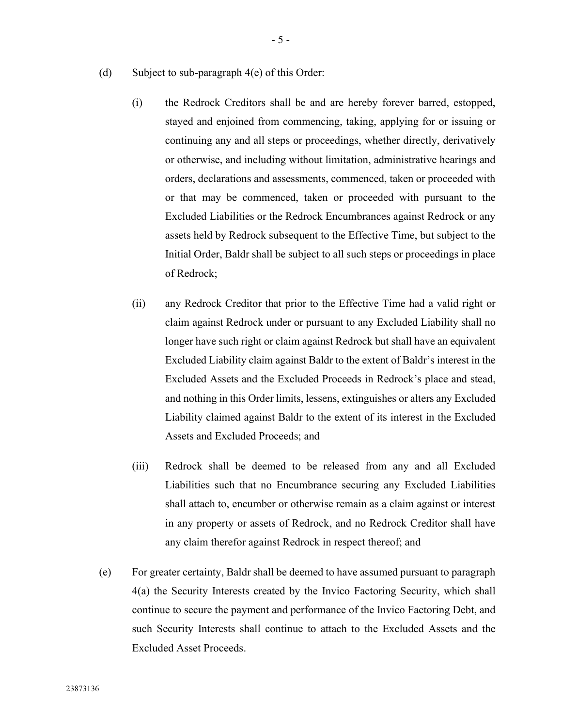- (d) Subject to sub-paragraph 4(e) of this Order:
	- (i) the Redrock Creditors shall be and are hereby forever barred, estopped, stayed and enjoined from commencing, taking, applying for or issuing or continuing any and all steps or proceedings, whether directly, derivatively or otherwise, and including without limitation, administrative hearings and orders, declarations and assessments, commenced, taken or proceeded with or that may be commenced, taken or proceeded with pursuant to the Excluded Liabilities or the Redrock Encumbrances against Redrock or any assets held by Redrock subsequent to the Effective Time, but subject to the Initial Order, Baldr shall be subject to all such steps or proceedings in place of Redrock;
	- (ii) any Redrock Creditor that prior to the Effective Time had a valid right or claim against Redrock under or pursuant to any Excluded Liability shall no longer have such right or claim against Redrock but shall have an equivalent Excluded Liability claim against Baldr to the extent of Baldr's interest in the Excluded Assets and the Excluded Proceeds in Redrock's place and stead, and nothing in this Order limits, lessens, extinguishes or alters any Excluded Liability claimed against Baldr to the extent of its interest in the Excluded Assets and Excluded Proceeds; and
	- (iii) Redrock shall be deemed to be released from any and all Excluded Liabilities such that no Encumbrance securing any Excluded Liabilities shall attach to, encumber or otherwise remain as a claim against or interest in any property or assets of Redrock, and no Redrock Creditor shall have any claim therefor against Redrock in respect thereof; and
- (e) For greater certainty, Baldr shall be deemed to have assumed pursuant to paragraph [4](#page-39-0)[\(a\)](#page-39-1) the Security Interests created by the Invico Factoring Security, which shall continue to secure the payment and performance of the Invico Factoring Debt, and such Security Interests shall continue to attach to the Excluded Assets and the Excluded Asset Proceeds.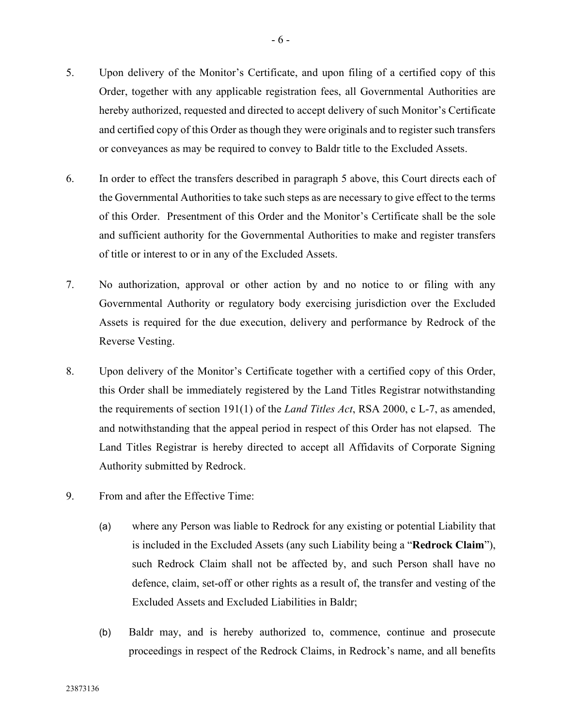- <span id="page-42-0"></span>5. Upon delivery of the Monitor's Certificate, and upon filing of a certified copy of this Order, together with any applicable registration fees, all Governmental Authorities are hereby authorized, requested and directed to accept delivery of such Monitor's Certificate and certified copy of this Order as though they were originals and to register such transfers or conveyances as may be required to convey to Baldr title to the Excluded Assets.
- 6. In order to effect the transfers described in paragraph [5](#page-42-0) above, this Court directs each of the Governmental Authorities to take such steps as are necessary to give effect to the terms of this Order. Presentment of this Order and the Monitor's Certificate shall be the sole and sufficient authority for the Governmental Authorities to make and register transfers of title or interest to or in any of the Excluded Assets.
- 7. No authorization, approval or other action by and no notice to or filing with any Governmental Authority or regulatory body exercising jurisdiction over the Excluded Assets is required for the due execution, delivery and performance by Redrock of the Reverse Vesting.
- 8. Upon delivery of the Monitor's Certificate together with a certified copy of this Order, this Order shall be immediately registered by the Land Titles Registrar notwithstanding the requirements of section 191(1) of the *Land Titles Act*, RSA 2000, c L-7, as amended, and notwithstanding that the appeal period in respect of this Order has not elapsed. The Land Titles Registrar is hereby directed to accept all Affidavits of Corporate Signing Authority submitted by Redrock.
- <span id="page-42-2"></span><span id="page-42-1"></span>9. From and after the Effective Time:
	- (a) where any Person was liable to Redrock for any existing or potential Liability that is included in the Excluded Assets (any such Liability being a "**Redrock Claim**"), such Redrock Claim shall not be affected by, and such Person shall have no defence, claim, set-off or other rights as a result of, the transfer and vesting of the Excluded Assets and Excluded Liabilities in Baldr;
	- (b) Baldr may, and is hereby authorized to, commence, continue and prosecute proceedings in respect of the Redrock Claims, in Redrock's name, and all benefits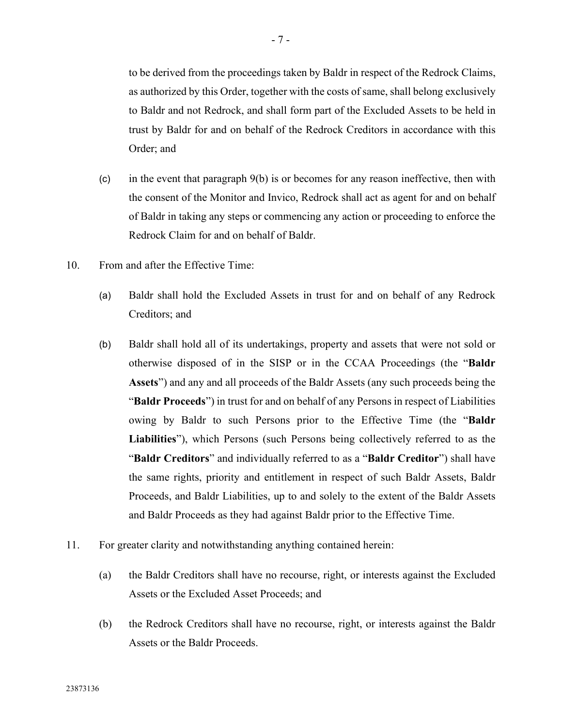to be derived from the proceedings taken by Baldr in respect of the Redrock Claims, as authorized by this Order, together with the costs of same, shall belong exclusively to Baldr and not Redrock, and shall form part of the Excluded Assets to be held in trust by Baldr for and on behalf of the Redrock Creditors in accordance with this Order; and

- (c) in the event that paragraph [9](#page-42-1)[\(b\)](#page-42-2) is or becomes for any reason ineffective, then with the consent of the Monitor and Invico, Redrock shall act as agent for and on behalf of Baldr in taking any steps or commencing any action or proceeding to enforce the Redrock Claim for and on behalf of Baldr.
- 10. From and after the Effective Time:
	- (a) Baldr shall hold the Excluded Assets in trust for and on behalf of any Redrock Creditors; and
	- (b) Baldr shall hold all of its undertakings, property and assets that were not sold or otherwise disposed of in the SISP or in the CCAA Proceedings (the "**Baldr Assets**") and any and all proceeds of the Baldr Assets (any such proceeds being the "**Baldr Proceeds**") in trust for and on behalf of any Persons in respect of Liabilities owing by Baldr to such Persons prior to the Effective Time (the "**Baldr Liabilities**"), which Persons (such Persons being collectively referred to as the "**Baldr Creditors**" and individually referred to as a "**Baldr Creditor**") shall have the same rights, priority and entitlement in respect of such Baldr Assets, Baldr Proceeds, and Baldr Liabilities, up to and solely to the extent of the Baldr Assets and Baldr Proceeds as they had against Baldr prior to the Effective Time.
- 11. For greater clarity and notwithstanding anything contained herein:
	- (a) the Baldr Creditors shall have no recourse, right, or interests against the Excluded Assets or the Excluded Asset Proceeds; and
	- (b) the Redrock Creditors shall have no recourse, right, or interests against the Baldr Assets or the Baldr Proceeds.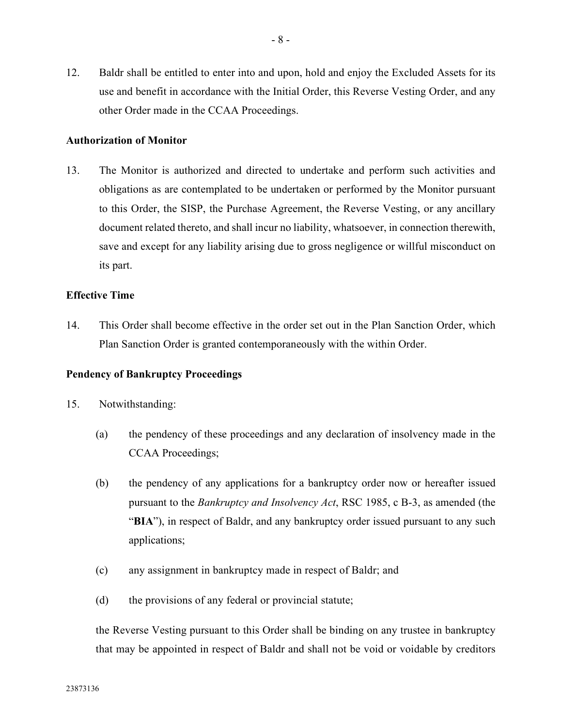12. Baldr shall be entitled to enter into and upon, hold and enjoy the Excluded Assets for its use and benefit in accordance with the Initial Order, this Reverse Vesting Order, and any other Order made in the CCAA Proceedings.

#### **Authorization of Monitor**

13. The Monitor is authorized and directed to undertake and perform such activities and obligations as are contemplated to be undertaken or performed by the Monitor pursuant to this Order, the SISP, the Purchase Agreement, the Reverse Vesting, or any ancillary document related thereto, and shall incur no liability, whatsoever, in connection therewith, save and except for any liability arising due to gross negligence or willful misconduct on its part.

#### **Effective Time**

14. This Order shall become effective in the order set out in the Plan Sanction Order, which Plan Sanction Order is granted contemporaneously with the within Order.

#### **Pendency of Bankruptcy Proceedings**

- 15. Notwithstanding:
	- (a) the pendency of these proceedings and any declaration of insolvency made in the CCAA Proceedings;
	- (b) the pendency of any applications for a bankruptcy order now or hereafter issued pursuant to the *Bankruptcy and Insolvency Act*, RSC 1985, c B-3, as amended (the "**BIA**"), in respect of Baldr, and any bankruptcy order issued pursuant to any such applications;
	- (c) any assignment in bankruptcy made in respect of Baldr; and
	- (d) the provisions of any federal or provincial statute;

the Reverse Vesting pursuant to this Order shall be binding on any trustee in bankruptcy that may be appointed in respect of Baldr and shall not be void or voidable by creditors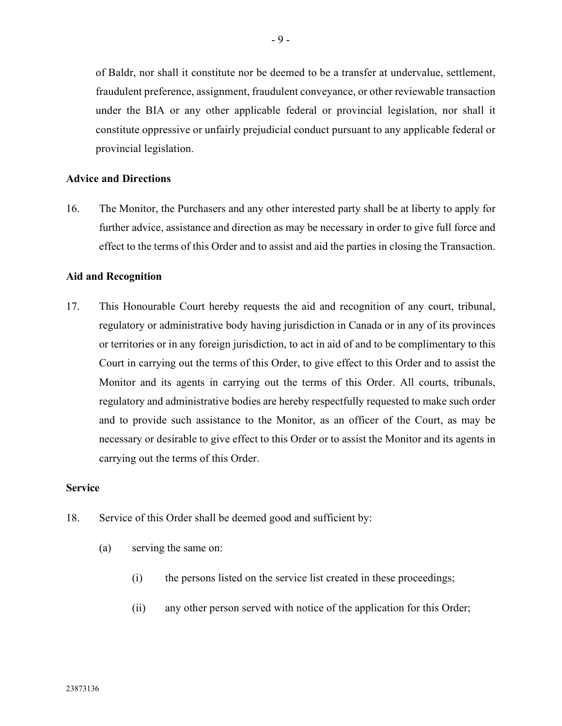of Baldr, nor shall it constitute nor be deemed to be a transfer at undervalue, settlement, fraudulent preference, assignment, fraudulent conveyance, or other reviewable transaction under the BIA or any other applicable federal or provincial legislation, nor shall it constitute oppressive or unfairly prejudicial conduct pursuant to any applicable federal or provincial legislation.

## **Advice and Directions**

16. The Monitor, the Purchasers and any other interested party shall be at liberty to apply for further advice, assistance and direction as may be necessary in order to give full force and effect to the terms of this Order and to assist and aid the parties in closing the Transaction.

#### **Aid and Recognition**

17. This Honourable Court hereby requests the aid and recognition of any court, tribunal, regulatory or administrative body having jurisdiction in Canada or in any of its provinces or territories or in any foreign jurisdiction, to act in aid of and to be complimentary to this Court in carrying out the terms of this Order, to give effect to this Order and to assist the Monitor and its agents in carrying out the terms of this Order. All courts, tribunals, regulatory and administrative bodies are hereby respectfully requested to make such order and to provide such assistance to the Monitor, as an officer of the Court, as may be necessary or desirable to give effect to this Order or to assist the Monitor and its agents in carrying out the terms of this Order.

#### **Service**

- 18. Service of this Order shall be deemed good and sufficient by:
	- (a) serving the same on:
		- (i) the persons listed on the service list created in these proceedings;
		- (ii) any other person served with notice of the application for this Order;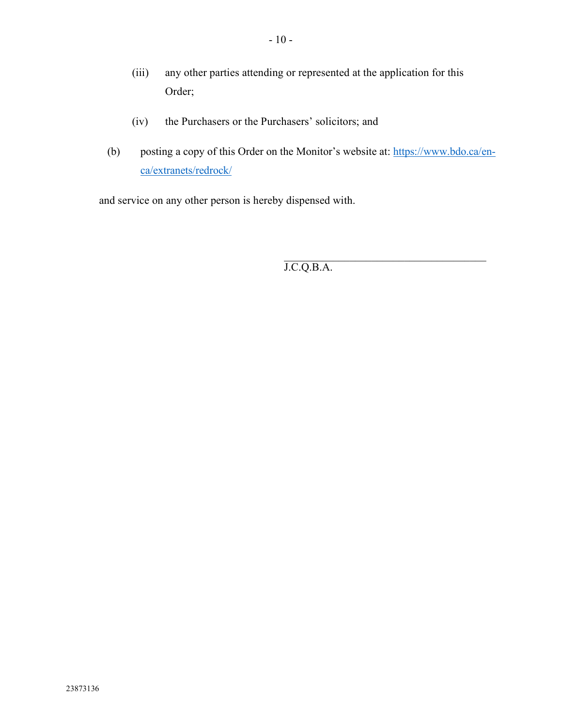- (iii) any other parties attending or represented at the application for this Order;
- (iv) the Purchasers or the Purchasers' solicitors; and
- (b) posting a copy of this Order on the Monitor's website at: https://www.bdo.ca/enca/extranets/redrock/

and service on any other person is hereby dispensed with.

 $\mathcal{L}_\text{max}$  and  $\mathcal{L}_\text{max}$  and  $\mathcal{L}_\text{max}$  and  $\mathcal{L}_\text{max}$ J.C.Q.B.A.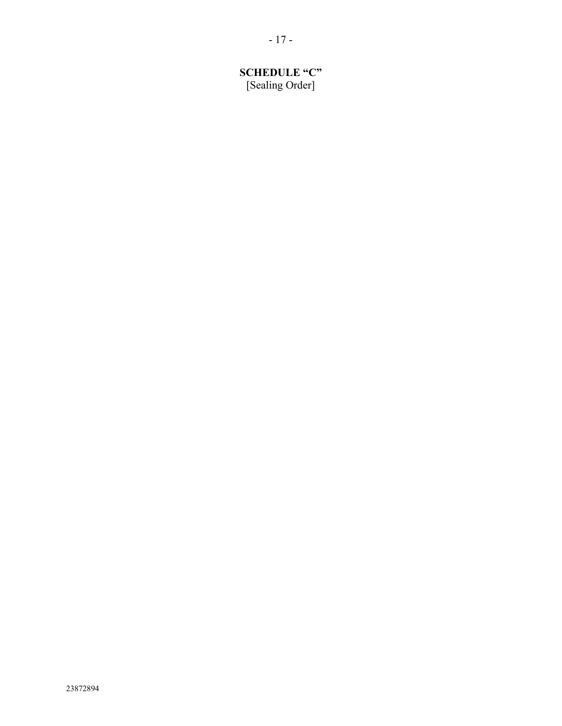# **SCHEDULE "C"** [Sealing Order]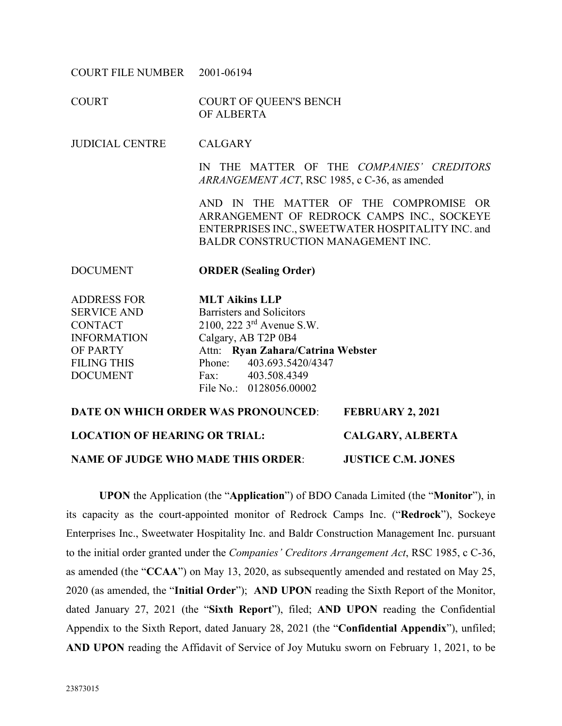COURT FILE NUMBER 2001-06194

COURT COURT OF QUEEN'S BENCH OF ALBERTA

JUDICIAL CENTRE CALGARY

IN THE MATTER OF THE *COMPANIES' CREDITORS ARRANGEMENT ACT*, RSC 1985, c C-36, as amended

AND IN THE MATTER OF THE COMPROMISE OR ARRANGEMENT OF REDROCK CAMPS INC., SOCKEYE ENTERPRISES INC., SWEETWATER HOSPITALITY INC. and BALDR CONSTRUCTION MANAGEMENT INC.

#### DOCUMENT **ORDER (Sealing Order)**

ADDRESS FOR SERVICE AND **CONTACT** INFORMATION OF PARTY FILING THIS DOCUMENT

**MLT Aikins LLP** Barristers and Solicitors 2100, 222 3rd Avenue S.W. Calgary, AB T2P 0B4 Attn: **Ryan Zahara/Catrina Webster** Phone: 403.693.5420/4347 Fax: 403.508.4349 File No.: 0128056.00002

# **DATE ON WHICH ORDER WAS PRONOUNCED**: **FEBRUARY 2, 2021 LOCATION OF HEARING OR TRIAL: CALGARY, ALBERTA NAME OF JUDGE WHO MADE THIS ORDER**: **JUSTICE C.M. JONES**

**UPON** the Application (the "**Application**") of BDO Canada Limited (the "**Monitor**"), in its capacity as the court-appointed monitor of Redrock Camps Inc. ("**Redrock**"), Sockeye Enterprises Inc., Sweetwater Hospitality Inc. and Baldr Construction Management Inc. pursuant to the initial order granted under the *Companies' Creditors Arrangement Act*, RSC 1985, c C-36, as amended (the "**CCAA**") on May 13, 2020, as subsequently amended and restated on May 25, 2020 (as amended, the "**Initial Order**"); **AND UPON** reading the Sixth Report of the Monitor, dated January 27, 2021 (the "**Sixth Report**"), filed; **AND UPON** reading the Confidential Appendix to the Sixth Report, dated January 28, 2021 (the "**Confidential Appendix**"), unfiled; **AND UPON** reading the Affidavit of Service of Joy Mutuku sworn on February 1, 2021, to be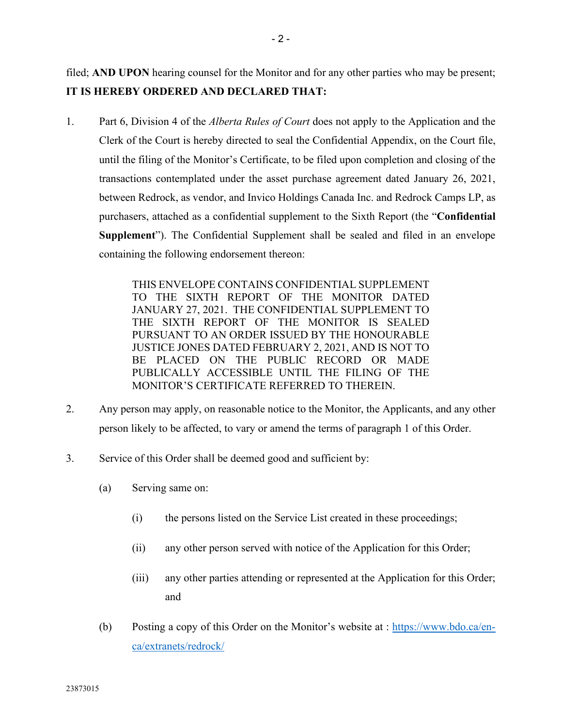filed; **AND UPON** hearing counsel for the Monitor and for any other parties who may be present; **IT IS HEREBY ORDERED AND DECLARED THAT:**

1. Part 6, Division 4 of the *Alberta Rules of Court* does not apply to the Application and the Clerk of the Court is hereby directed to seal the Confidential Appendix, on the Court file, until the filing of the Monitor's Certificate, to be filed upon completion and closing of the transactions contemplated under the asset purchase agreement dated January 26, 2021, between Redrock, as vendor, and Invico Holdings Canada Inc. and Redrock Camps LP, as purchasers, attached as a confidential supplement to the Sixth Report (the "**Confidential Supplement**"). The Confidential Supplement shall be sealed and filed in an envelope containing the following endorsement thereon:

> THIS ENVELOPE CONTAINS CONFIDENTIAL SUPPLEMENT TO THE SIXTH REPORT OF THE MONITOR DATED JANUARY 27, 2021. THE CONFIDENTIAL SUPPLEMENT TO THE SIXTH REPORT OF THE MONITOR IS SEALED PURSUANT TO AN ORDER ISSUED BY THE HONOURABLE JUSTICE JONES DATED FEBRUARY 2, 2021, AND IS NOT TO BE PLACED ON THE PUBLIC RECORD OR MADE PUBLICALLY ACCESSIBLE UNTIL THE FILING OF THE MONITOR'S CERTIFICATE REFERRED TO THEREIN.

- 2. Any person may apply, on reasonable notice to the Monitor, the Applicants, and any other person likely to be affected, to vary or amend the terms of paragraph 1 of this Order.
- 3. Service of this Order shall be deemed good and sufficient by:
	- (a) Serving same on:
		- (i) the persons listed on the Service List created in these proceedings;
		- (ii) any other person served with notice of the Application for this Order;
		- (iii) any other parties attending or represented at the Application for this Order; and
	- (b) Posting a copy of this Order on the Monitor's website at : [https://www.bdo.ca/en](https://www.bdo.ca/en-ca/extranets/redrock/)[ca/extranets/redrock/](https://www.bdo.ca/en-ca/extranets/redrock/)